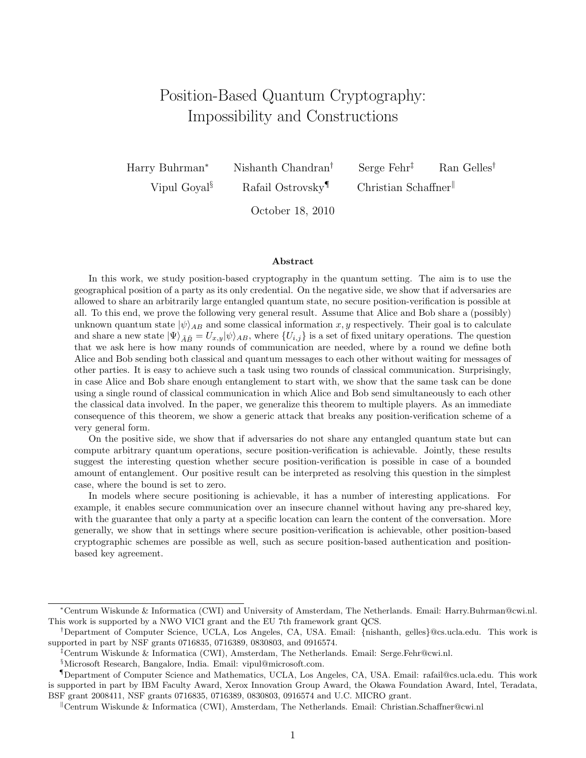# Position-Based Quantum Cryptography: Impossibility and Constructions

Harry Buhrman<sup>∗</sup> Nishanth Chandran† Serge Fehr‡ Ran Gelles† Vipul Goyal<sup>§</sup> Rafail Ostrovsky<sup>¶</sup> Christian Schaffner

October 18, 2010

#### Abstract

In this work, we study position-based cryptography in the quantum setting. The aim is to use the geographical position of a party as its only credential. On the negative side, we show that if adversaries are allowed to share an arbitrarily large entangled quantum state, no secure position-verification is possible at all. To this end, we prove the following very general result. Assume that Alice and Bob share a (possibly) unknown quantum state  $|\psi\rangle_{AB}$  and some classical information x, y respectively. Their goal is to calculate and share a new state  $|\Psi\rangle_{\tilde{A}\tilde{B}} = U_{x,y}|\psi\rangle_{AB}$ , where  $\{U_{i,j}\}\$ is a set of fixed unitary operations. The question that we ask here is how many rounds of communication are needed, where by a round we define both Alice and Bob sending both classical and quantum messages to each other without waiting for messages of other parties. It is easy to achieve such a task using two rounds of classical communication. Surprisingly, in case Alice and Bob share enough entanglement to start with, we show that the same task can be done using a single round of classical communication in which Alice and Bob send simultaneously to each other the classical data involved. In the paper, we generalize this theorem to multiple players. As an immediate consequence of this theorem, we show a generic attack that breaks any position-verification scheme of a very general form.

On the positive side, we show that if adversaries do not share any entangled quantum state but can compute arbitrary quantum operations, secure position-verification is achievable. Jointly, these results suggest the interesting question whether secure position-verification is possible in case of a bounded amount of entanglement. Our positive result can be interpreted as resolving this question in the simplest case, where the bound is set to zero.

In models where secure positioning is achievable, it has a number of interesting applications. For example, it enables secure communication over an insecure channel without having any pre-shared key, with the guarantee that only a party at a specific location can learn the content of the conversation. More generally, we show that in settings where secure position-verification is achievable, other position-based cryptographic schemes are possible as well, such as secure position-based authentication and positionbased key agreement.

<sup>∗</sup>Centrum Wiskunde & Informatica (CWI) and University of Amsterdam, The Netherlands. Email: Harry.Buhrman@cwi.nl. This work is supported by a NWO VICI grant and the EU 7th framework grant QCS.

<sup>†</sup>Department of Computer Science, UCLA, Los Angeles, CA, USA. Email: {nishanth, gelles}@cs.ucla.edu. This work is supported in part by NSF grants 0716835, 0716389, 0830803, and 0916574.

<sup>‡</sup>Centrum Wiskunde & Informatica (CWI), Amsterdam, The Netherlands. Email: Serge.Fehr@cwi.nl.

<sup>§</sup>Microsoft Research, Bangalore, India. Email: vipul@microsoft.com.

<sup>¶</sup>Department of Computer Science and Mathematics, UCLA, Los Angeles, CA, USA. Email: rafail@cs.ucla.edu. This work is supported in part by IBM Faculty Award, Xerox Innovation Group Award, the Okawa Foundation Award, Intel, Teradata, BSF grant 2008411, NSF grants 0716835, 0716389, 0830803, 0916574 and U.C. MICRO grant.

Centrum Wiskunde & Informatica (CWI), Amsterdam, The Netherlands. Email: Christian.Schaffner@cwi.nl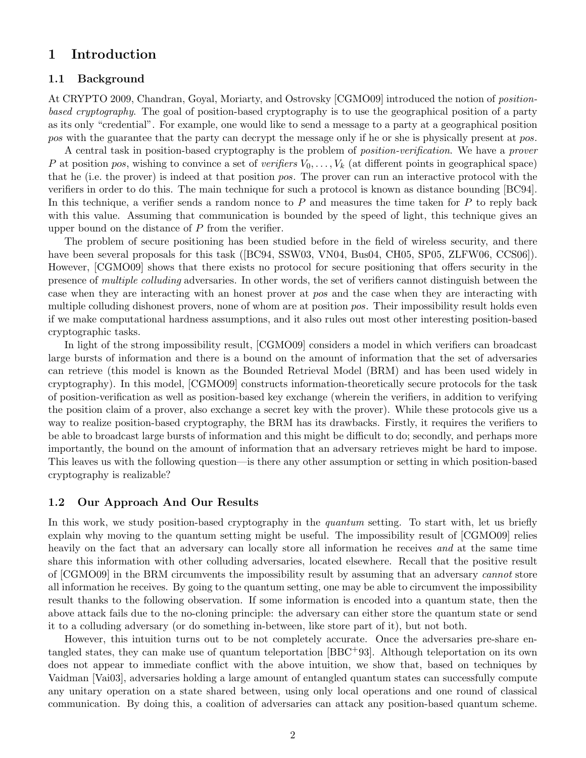## 1 Introduction

## 1.1 Background

At CRYPTO 2009, Chandran, Goyal, Moriarty, and Ostrovsky [CGMO09] introduced the notion of positionbased cryptography. The goal of position-based cryptography is to use the geographical position of a party as its only "credential". For example, one would like to send a message to a party at a geographical position pos with the guarantee that the party can decrypt the message only if he or she is physically present at pos.

A central task in position-based cryptography is the problem of position-verification. We have a prover P at position pos, wishing to convince a set of verifiers  $V_0, \ldots, V_k$  (at different points in geographical space) that he (i.e. the prover) is indeed at that position pos. The prover can run an interactive protocol with the verifiers in order to do this. The main technique for such a protocol is known as distance bounding [BC94]. In this technique, a verifier sends a random nonce to  $P$  and measures the time taken for  $P$  to reply back with this value. Assuming that communication is bounded by the speed of light, this technique gives an upper bound on the distance of P from the verifier.

The problem of secure positioning has been studied before in the field of wireless security, and there have been several proposals for this task ([BC94, SSW03, VN04, Bus04, CH05, SP05, ZLFW06, CCS06]). However, [CGMO09] shows that there exists no protocol for secure positioning that offers security in the presence of multiple colluding adversaries. In other words, the set of verifiers cannot distinguish between the case when they are interacting with an honest prover at pos and the case when they are interacting with multiple colluding dishonest provers, none of whom are at position pos. Their impossibility result holds even if we make computational hardness assumptions, and it also rules out most other interesting position-based cryptographic tasks.

In light of the strong impossibility result, [CGMO09] considers a model in which verifiers can broadcast large bursts of information and there is a bound on the amount of information that the set of adversaries can retrieve (this model is known as the Bounded Retrieval Model (BRM) and has been used widely in cryptography). In this model, [CGMO09] constructs information-theoretically secure protocols for the task of position-verification as well as position-based key exchange (wherein the verifiers, in addition to verifying the position claim of a prover, also exchange a secret key with the prover). While these protocols give us a way to realize position-based cryptography, the BRM has its drawbacks. Firstly, it requires the verifiers to be able to broadcast large bursts of information and this might be difficult to do; secondly, and perhaps more importantly, the bound on the amount of information that an adversary retrieves might be hard to impose. This leaves us with the following question—is there any other assumption or setting in which position-based cryptography is realizable?

#### 1.2 Our Approach And Our Results

In this work, we study position-based cryptography in the *quantum* setting. To start with, let us briefly explain why moving to the quantum setting might be useful. The impossibility result of [CGMO09] relies heavily on the fact that an adversary can locally store all information he receives and at the same time share this information with other colluding adversaries, located elsewhere. Recall that the positive result of [CGMO09] in the BRM circumvents the impossibility result by assuming that an adversary cannot store all information he receives. By going to the quantum setting, one may be able to circumvent the impossibility result thanks to the following observation. If some information is encoded into a quantum state, then the above attack fails due to the no-cloning principle: the adversary can either store the quantum state or send it to a colluding adversary (or do something in-between, like store part of it), but not both.

However, this intuition turns out to be not completely accurate. Once the adversaries pre-share entangled states, they can make use of quantum teleportation [BBC+93]. Although teleportation on its own does not appear to immediate conflict with the above intuition, we show that, based on techniques by Vaidman [Vai03], adversaries holding a large amount of entangled quantum states can successfully compute any unitary operation on a state shared between, using only local operations and one round of classical communication. By doing this, a coalition of adversaries can attack any position-based quantum scheme.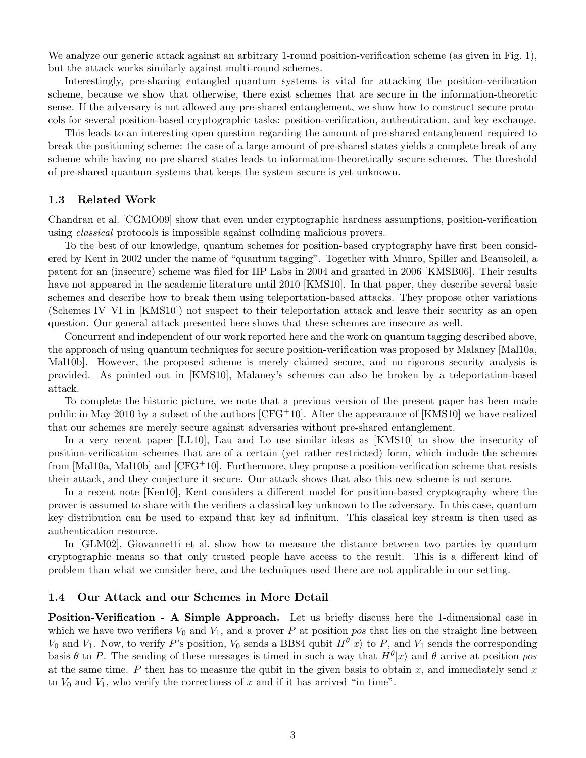We analyze our generic attack against an arbitrary 1-round position-verification scheme (as given in Fig. 1), but the attack works similarly against multi-round schemes.

Interestingly, pre-sharing entangled quantum systems is vital for attacking the position-verification scheme, because we show that otherwise, there exist schemes that are secure in the information-theoretic sense. If the adversary is not allowed any pre-shared entanglement, we show how to construct secure protocols for several position-based cryptographic tasks: position-verification, authentication, and key exchange.

This leads to an interesting open question regarding the amount of pre-shared entanglement required to break the positioning scheme: the case of a large amount of pre-shared states yields a complete break of any scheme while having no pre-shared states leads to information-theoretically secure schemes. The threshold of pre-shared quantum systems that keeps the system secure is yet unknown.

## 1.3 Related Work

Chandran et al. [CGMO09] show that even under cryptographic hardness assumptions, position-verification using classical protocols is impossible against colluding malicious provers.

To the best of our knowledge, quantum schemes for position-based cryptography have first been considered by Kent in 2002 under the name of "quantum tagging". Together with Munro, Spiller and Beausoleil, a patent for an (insecure) scheme was filed for HP Labs in 2004 and granted in 2006 [KMSB06]. Their results have not appeared in the academic literature until 2010 [KMS10]. In that paper, they describe several basic schemes and describe how to break them using teleportation-based attacks. They propose other variations (Schemes IV–VI in [KMS10]) not suspect to their teleportation attack and leave their security as an open question. Our general attack presented here shows that these schemes are insecure as well.

Concurrent and independent of our work reported here and the work on quantum tagging described above, the approach of using quantum techniques for secure position-verification was proposed by Malaney [Mal10a, Mal10b]. However, the proposed scheme is merely claimed secure, and no rigorous security analysis is provided. As pointed out in [KMS10], Malaney's schemes can also be broken by a teleportation-based attack.

To complete the historic picture, we note that a previous version of the present paper has been made public in May 2010 by a subset of the authors  $[CFG^+10]$ . After the appearance of  $[KMS10]$  we have realized that our schemes are merely secure against adversaries without pre-shared entanglement.

In a very recent paper [LL10], Lau and Lo use similar ideas as [KMS10] to show the insecurity of position-verification schemes that are of a certain (yet rather restricted) form, which include the schemes from [Mal10a, Mal10b] and [CFG+10]. Furthermore, they propose a position-verification scheme that resists their attack, and they conjecture it secure. Our attack shows that also this new scheme is not secure.

In a recent note [Ken10], Kent considers a different model for position-based cryptography where the prover is assumed to share with the verifiers a classical key unknown to the adversary. In this case, quantum key distribution can be used to expand that key ad infinitum. This classical key stream is then used as authentication resource.

In [GLM02], Giovannetti et al. show how to measure the distance between two parties by quantum cryptographic means so that only trusted people have access to the result. This is a different kind of problem than what we consider here, and the techniques used there are not applicable in our setting.

#### 1.4 Our Attack and our Schemes in More Detail

Position-Verification - A Simple Approach. Let us briefly discuss here the 1-dimensional case in which we have two verifiers  $V_0$  and  $V_1$ , and a prover P at position pos that lies on the straight line between  $V_0$  and  $V_1$ . Now, to verify P's position,  $V_0$  sends a BB84 qubit  $H^{\theta}|x\rangle$  to P, and  $V_1$  sends the corresponding basis  $\theta$  to P. The sending of these messages is timed in such a way that  $H^{\theta}|x\rangle$  and  $\theta$  arrive at position pos at the same time. P then has to measure the qubit in the given basis to obtain x, and immediately send x to  $V_0$  and  $V_1$ , who verify the correctness of x and if it has arrived "in time".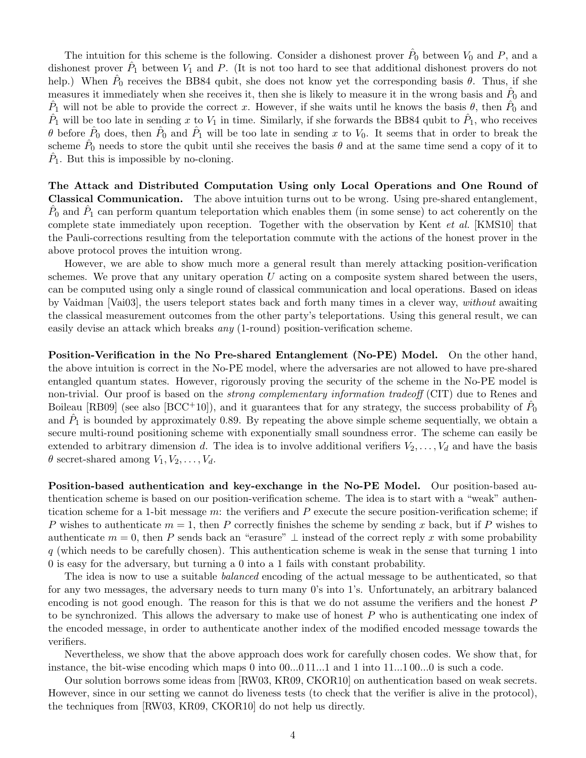The intuition for this scheme is the following. Consider a dishonest prover  $\hat{P}_0$  between  $V_0$  and  $P$ , and a dishonest prover  $\hat{P}_1$  between  $V_1$  and  $P$ . (It is not too hard to see that additional dishonest provers do not help.) When  $\hat{P}_0$  receives the BB84 qubit, she does not know yet the corresponding basis  $\theta$ . Thus, if she measures it immediately when she receives it, then she is likely to measure it in the wrong basis and  $\hat{P}_0$  and  $\hat{P}_1$  will not be able to provide the correct x. However, if she waits until he knows the basis  $\theta$ , then  $\hat{P}_0$  and  $\hat{P}_1$  will be too late in sending x to  $V_1$  in time. Similarly, if she forwards the BB84 qubit to  $\hat{P}_1$ , who receives  $\theta$  before  $\hat{P}_0$  does, then  $\hat{P}_0$  and  $\hat{P}_1$  will be too late in sending x to  $V_0$ . It seems that in order to break the scheme  $\hat{P}_0$  needs to store the qubit until she receives the basis  $\theta$  and at the same time send a copy of it to  $\hat{P}_1$ . But this is impossible by no-cloning.

The Attack and Distributed Computation Using only Local Operations and One Round of Classical Communication. The above intuition turns out to be wrong. Using pre-shared entanglement,  $\hat{P}_0$  and  $\hat{P}_1$  can perform quantum teleportation which enables them (in some sense) to act coherently on the complete state immediately upon reception. Together with the observation by Kent et al. [KMS10] that the Pauli-corrections resulting from the teleportation commute with the actions of the honest prover in the above protocol proves the intuition wrong.

However, we are able to show much more a general result than merely attacking position-verification schemes. We prove that any unitary operation  $U$  acting on a composite system shared between the users, can be computed using only a single round of classical communication and local operations. Based on ideas by Vaidman [Vai03], the users teleport states back and forth many times in a clever way, without awaiting the classical measurement outcomes from the other party's teleportations. Using this general result, we can easily devise an attack which breaks any (1-round) position-verification scheme.

Position-Verification in the No Pre-shared Entanglement (No-PE) Model. On the other hand, the above intuition is correct in the No-PE model, where the adversaries are not allowed to have pre-shared entangled quantum states. However, rigorously proving the security of the scheme in the No-PE model is non-trivial. Our proof is based on the *strong complementary information tradeoff* (CIT) due to Renes and Boileau [RB09] (see also [BCC<sup>+</sup>10]), and it guarantees that for any strategy, the success probability of  $\hat{P}_0$ and  $\hat{P}_1$  is bounded by approximately 0.89. By repeating the above simple scheme sequentially, we obtain a secure multi-round positioning scheme with exponentially small soundness error. The scheme can easily be extended to arbitrary dimension d. The idea is to involve additional verifiers  $V_2, \ldots, V_d$  and have the basis  $\theta$  secret-shared among  $V_1, V_2, \ldots, V_d$ .

Position-based authentication and key-exchange in the No-PE Model. Our position-based authentication scheme is based on our position-verification scheme. The idea is to start with a "weak" authentication scheme for a 1-bit message m: the verifiers and  $P$  execute the secure position-verification scheme; if P wishes to authenticate  $m = 1$ , then P correctly finishes the scheme by sending x back, but if P wishes to authenticate  $m = 0$ , then P sends back an "erasure"  $\perp$  instead of the correct reply x with some probability  $q$  (which needs to be carefully chosen). This authentication scheme is weak in the sense that turning 1 into 0 is easy for the adversary, but turning a 0 into a 1 fails with constant probability.

The idea is now to use a suitable *balanced* encoding of the actual message to be authenticated, so that for any two messages, the adversary needs to turn many 0's into 1's. Unfortunately, an arbitrary balanced encoding is not good enough. The reason for this is that we do not assume the verifiers and the honest P to be synchronized. This allows the adversary to make use of honest  $P$  who is authenticating one index of the encoded message, in order to authenticate another index of the modified encoded message towards the verifiers.

Nevertheless, we show that the above approach does work for carefully chosen codes. We show that, for instance, the bit-wise encoding which maps 0 into 00...0 11...1 and 1 into 11...1 00...0 is such a code.

Our solution borrows some ideas from [RW03, KR09, CKOR10] on authentication based on weak secrets. However, since in our setting we cannot do liveness tests (to check that the verifier is alive in the protocol), the techniques from [RW03, KR09, CKOR10] do not help us directly.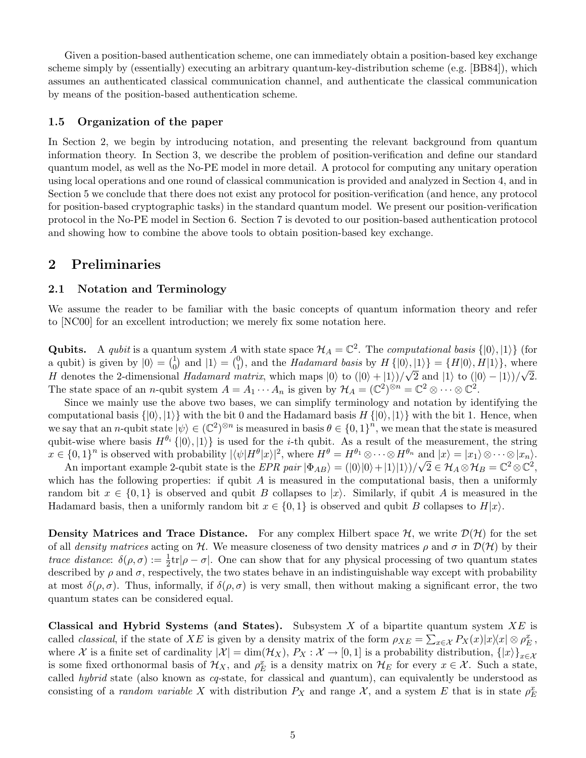Given a position-based authentication scheme, one can immediately obtain a position-based key exchange scheme simply by (essentially) executing an arbitrary quantum-key-distribution scheme (e.g. [BB84]), which assumes an authenticated classical communication channel, and authenticate the classical communication by means of the position-based authentication scheme.

## 1.5 Organization of the paper

In Section 2, we begin by introducing notation, and presenting the relevant background from quantum information theory. In Section 3, we describe the problem of position-verification and define our standard quantum model, as well as the No-PE model in more detail. A protocol for computing any unitary operation using local operations and one round of classical communication is provided and analyzed in Section 4, and in Section 5 we conclude that there does not exist any protocol for position-verification (and hence, any protocol for position-based cryptographic tasks) in the standard quantum model. We present our position-verification protocol in the No-PE model in Section 6. Section 7 is devoted to our position-based authentication protocol and showing how to combine the above tools to obtain position-based key exchange.

## 2 Preliminaries

## 2.1 Notation and Terminology

We assume the reader to be familiar with the basic concepts of quantum information theory and refer to [NC00] for an excellent introduction; we merely fix some notation here.

**Qubits.** A qubit is a quantum system A with state space  $\mathcal{H}_A = \mathbb{C}^2$ . The computational basis  $\{|0\rangle, |1\rangle\}$  (for a qubit) is given by  $|0\rangle = \binom{1}{0}$  $_{0}^{1}$  and  $|1\rangle = {0 \choose 1}$ <sup>0</sup>, and the *Hadamard basis* by  $H\{|0\rangle, |1\rangle\} = \{H|0\rangle, H|1\rangle\}$ , where H denotes the 2-dimensional Hadamard matrix, which maps  $|0\rangle$  to  $(|0\rangle + |1\rangle)/\sqrt{2}$  and  $|1\rangle$  to  $(|0\rangle - |1\rangle)/\sqrt{2}$ . The state space of an *n*-qubit system  $A = A_1 \cdots A_n$  is given by  $\mathcal{H}_A = (\mathbb{C}^2)^{\otimes n} = \mathbb{C}^2 \otimes \cdots \otimes \mathbb{C}^2$ .

Since we mainly use the above two bases, we can simplify terminology and notation by identifying the computational basis  $\{|0\rangle, |1\rangle\}$  with the bit 0 and the Hadamard basis  $H\{|0\rangle, |1\rangle\}$  with the bit 1. Hence, when we say that an *n*-qubit state  $|\psi\rangle \in (\mathbb{C}^2)^{\otimes n}$  is measured in basis  $\theta \in \{0,1\}^n$ , we mean that the state is measured qubit-wise where basis  $H^{\theta_i} \{ |0\rangle, |1\rangle \}$  is used for the *i*-th qubit. As a result of the measurement, the string  $x \in \{0,1\}^n$  is observed with probability  $|\langle \psi | H^{\theta} | x \rangle|^2$ , where  $H^{\theta} = H^{\theta_1} \otimes \cdots \otimes H^{\theta_n}$  and  $|x \rangle = |x_1 \rangle \otimes \cdots \otimes |x_n \rangle$ .

An important example 2-qubit state is the EPR pair  $|\Phi_{AB}\rangle = (|0\rangle|0\rangle + |1\rangle|1\rangle)/\sqrt{2} \in \mathcal{H}_A \otimes \mathcal{H}_B = \mathbb{C}^2 \otimes \mathbb{C}^2$ , which has the following properties: if qubit A is measured in the computational basis, then a uniformly random bit  $x \in \{0,1\}$  is observed and qubit B collapses to  $|x\rangle$ . Similarly, if qubit A is measured in the Hadamard basis, then a uniformly random bit  $x \in \{0, 1\}$  is observed and qubit B collapses to  $H|x\rangle$ .

**Density Matrices and Trace Distance.** For any complex Hilbert space  $H$ , we write  $\mathcal{D}(\mathcal{H})$  for the set of all density matrices acting on H. We measure closeness of two density matrices  $\rho$  and  $\sigma$  in  $\mathcal{D}(\mathcal{H})$  by their *trace distance*:  $\delta(\rho, \sigma) := \frac{1}{2} \text{tr} |\rho - \sigma|$ . One can show that for any physical processing of two quantum states described by  $\rho$  and  $\sigma$ , respectively, the two states behave in an indistinguishable way except with probability at most  $\delta(\rho, \sigma)$ . Thus, informally, if  $\delta(\rho, \sigma)$  is very small, then without making a significant error, the two quantum states can be considered equal.

Classical and Hybrid Systems (and States). Subsystem  $X$  of a bipartite quantum system  $XE$  is called *classical*, if the state of XE is given by a density matrix of the form  $\rho_{XE} = \sum_{x \in \mathcal{X}} P_X(x)|x\rangle\langle x|\otimes \rho_E^x$ , where X is a finite set of cardinality  $|\mathcal{X}| = \dim(\mathcal{H}_X), P_X : \mathcal{X} \to [0,1]$  is a probability distribution,  $\{|x\rangle\}_{x \in \mathcal{X}}$ is some fixed orthonormal basis of  $\mathcal{H}_X$ , and  $\rho_E^x$  is a density matrix on  $\mathcal{H}_E$  for every  $x \in \mathcal{X}$ . Such a state, called hybrid state (also known as cq-state, for classical and quantum), can equivalently be understood as consisting of a *random variable X* with distribution  $P_X$  and range X, and a system E that is in state  $\rho_E^x$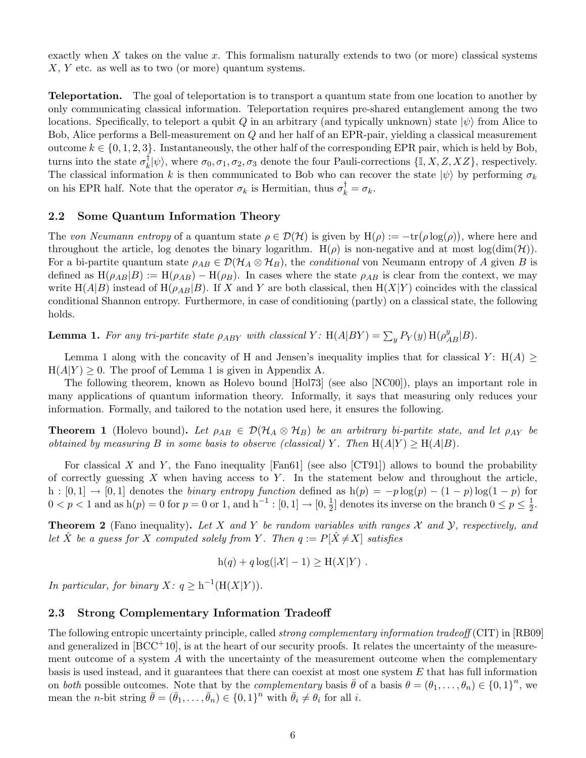exactly when X takes on the value x. This formalism naturally extends to two (or more) classical systems  $X, Y$  etc. as well as to two (or more) quantum systems.

Teleportation. The goal of teleportation is to transport a quantum state from one location to another by only communicating classical information. Teleportation requires pre-shared entanglement among the two locations. Specifically, to teleport a qubit Q in an arbitrary (and typically unknown) state  $|\psi\rangle$  from Alice to Bob, Alice performs a Bell-measurement on Q and her half of an EPR-pair, yielding a classical measurement outcome  $k \in \{0, 1, 2, 3\}$ . Instantaneously, the other half of the corresponding EPR pair, which is held by Bob, turns into the state  $\sigma_k^{\dagger}$  $_{k}^{\dagger}|\psi\rangle$ , where  $\sigma_0, \sigma_1, \sigma_2, \sigma_3$  denote the four Pauli-corrections  $\{\mathbb{I}, X, Z, XZ\}$ , respectively. The classical information k is then communicated to Bob who can recover the state  $|\psi\rangle$  by performing  $\sigma_k$ on his EPR half. Note that the operator  $\sigma_k$  is Hermitian, thus  $\sigma_k^{\dagger} = \sigma_k$ .

## 2.2 Some Quantum Information Theory

The von Neumann entropy of a quantum state  $\rho \in \mathcal{D}(\mathcal{H})$  is given by  $H(\rho) := -tr(\rho \log(\rho))$ , where here and throughout the article, log denotes the binary logarithm. H( $\rho$ ) is non-negative and at most log(dim( $\mathcal{H}$ )). For a bi-partite quantum state  $\rho_{AB} \in \mathcal{D}(\mathcal{H}_A \otimes \mathcal{H}_B)$ , the *conditional* von Neumann entropy of A given B is defined as  $H(\rho_{AB}|B) := H(\rho_{AB}) - H(\rho_B)$ . In cases where the state  $\rho_{AB}$  is clear from the context, we may write  $H(A|B)$  instead of  $H(\rho_{AB}|B)$ . If X and Y are both classical, then  $H(X|Y)$  coincides with the classical conditional Shannon entropy. Furthermore, in case of conditioning (partly) on a classical state, the following holds.

**Lemma 1.** For any tri-partite state  $\rho_{ABY}$  with classical Y:  $H(A|BY) = \sum_{y} P_Y(y) H(\rho_{AB}^y|B)$ .

Lemma 1 along with the concavity of H and Jensen's inequality implies that for classical Y: H(A)  $\geq$  $H(A|Y) \geq 0$ . The proof of Lemma 1 is given in Appendix A.

The following theorem, known as Holevo bound [Hol73] (see also [NC00]), plays an important role in many applications of quantum information theory. Informally, it says that measuring only reduces your information. Formally, and tailored to the notation used here, it ensures the following.

**Theorem 1** (Holevo bound). Let  $\rho_{AB} \in \mathcal{D}(\mathcal{H}_A \otimes \mathcal{H}_B)$  be an arbitrary bi-partite state, and let  $\rho_{AY}$  be obtained by measuring B in some basis to observe (classical) Y. Then  $H(A|Y) \ge H(A|B)$ .

For classical X and Y, the Fano inequality  $[Fan61]$  (see also  $[CT91]$ ) allows to bound the probability of correctly guessing  $X$  when having access to  $Y$ . In the statement below and throughout the article, h : [0,1] → [0,1] denotes the *binary entropy function* defined as  $h(p) = -p \log(p) - (1 - p) \log(1 - p)$  for  $0 < p < 1$  and as  $h(p) = 0$  for  $p = 0$  or 1, and  $h^{-1} : [0, 1] \rightarrow [0, \frac{1}{2}]$  $\frac{1}{2}$  denotes its inverse on the branch  $0 \le p \le \frac{1}{2}$  $\frac{1}{2}$ .

**Theorem 2** (Fano inequality). Let X and Y be random variables with ranges X and Y, respectively, and let X be a guess for X computed solely from Y. Then  $q := P[X \neq X]$  satisfies

$$
h(q) + q \log(|\mathcal{X}| - 1) \ge H(X|Y) .
$$

In particular, for binary  $X: q \geq h^{-1}(H(X|Y)).$ 

#### 2.3 Strong Complementary Information Tradeoff

The following entropic uncertainty principle, called strong complementary information tradeoff (CIT) in [RB09] and generalized in  $[BCC^+10]$ , is at the heart of our security proofs. It relates the uncertainty of the measurement outcome of a system A with the uncertainty of the measurement outcome when the complementary basis is used instead, and it guarantees that there can coexist at most one system E that has full information on both possible outcomes. Note that by the *complementary* basis  $\bar{\theta}$  of a basis  $\theta = (\theta_1, \ldots, \theta_n) \in \{0, 1\}^n$ , we mean the *n*-bit string  $\bar{\theta} = (\bar{\theta}_1, \ldots, \bar{\theta}_n) \in \{0, 1\}^n$  with  $\bar{\theta}_i \neq \theta_i$  for all *i*.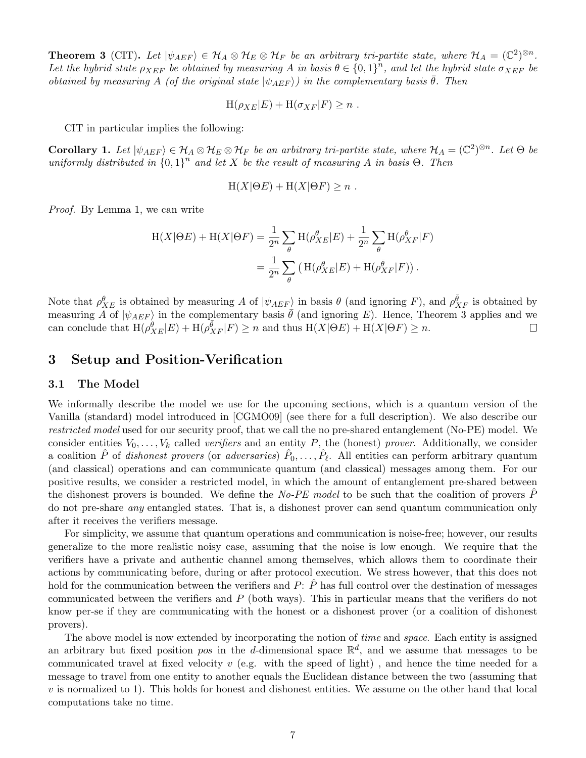**Theorem 3** (CIT). Let  $|\psi_{AEF}\rangle \in \mathcal{H}_A \otimes \mathcal{H}_E \otimes \mathcal{H}_F$  be an arbitrary tri-partite state, where  $\mathcal{H}_A = (\mathbb{C}^2)^{\otimes n}$ . Let the hybrid state  $\rho_{XEF}$  be obtained by measuring A in basis  $\theta \in \{0,1\}^n$ , and let the hybrid state  $\sigma_{XEF}$  be obtained by measuring A (of the original state  $|\psi_{AEF}\rangle$ ) in the complementary basis  $\theta$ . Then

$$
H(\rho_{XE}|E) + H(\sigma_{XF}|F) \ge n.
$$

CIT in particular implies the following:

**Corollary 1.** Let  $|\psi_{AEF}\rangle \in \mathcal{H}_A \otimes \mathcal{H}_E \otimes \mathcal{H}_F$  be an arbitrary tri-partite state, where  $\mathcal{H}_A = (\mathbb{C}^2)^{\otimes n}$ . Let  $\Theta$  be uniformly distributed in  ${0,1}^n$  and let X be the result of measuring A in basis  $\Theta$ . Then

$$
H(X|\Theta E) + H(X|\Theta F) \ge n.
$$

Proof. By Lemma 1, we can write

$$
H(X|\Theta E) + H(X|\Theta F) = \frac{1}{2^n} \sum_{\theta} H(\rho_{XE}^{\theta}|E) + \frac{1}{2^n} \sum_{\theta} H(\rho_{XF}^{\theta}|F)
$$

$$
= \frac{1}{2^n} \sum_{\theta} \left( H(\rho_{XE}^{\theta}|E) + H(\rho_{XF}^{\overline{\theta}}|F) \right).
$$

Note that  $\rho_{XE}^{\theta}$  is obtained by measuring A of  $|\psi_{AEF}\rangle$  in basis  $\theta$  (and ignoring F), and  $\rho_{XF}^{\bar{\theta}}$  is obtained by measuring A of  $|\psi_{AEF}\rangle$  in the complementary basis  $\bar{\theta}$  (and ignoring E). Hence, Theorem 3 applies and we can conclude that  $H(\rho_{XE}^{\theta}|E) + H(\rho_{XF}^{\theta}|F) \geq n$  and thus  $H(X|\Theta E) + H(X|\Theta F) \geq n$ .  $\Box$ 

## 3 Setup and Position-Verification

#### 3.1 The Model

We informally describe the model we use for the upcoming sections, which is a quantum version of the Vanilla (standard) model introduced in [CGMO09] (see there for a full description). We also describe our restricted model used for our security proof, that we call the no pre-shared entanglement (No-PE) model. We consider entities  $V_0, \ldots, V_k$  called *verifiers* and an entity P, the (honest) prover. Additionally, we consider a coalition  $\hat{P}$  of dishonest provers (or adversaries)  $\hat{P}_0,\ldots,\hat{P}_\ell$ . All entities can perform arbitrary quantum (and classical) operations and can communicate quantum (and classical) messages among them. For our positive results, we consider a restricted model, in which the amount of entanglement pre-shared between the dishonest provers is bounded. We define the  $No-PE$  model to be such that the coalition of provers  $P^{\dagger}$ do not pre-share any entangled states. That is, a dishonest prover can send quantum communication only after it receives the verifiers message.

For simplicity, we assume that quantum operations and communication is noise-free; however, our results generalize to the more realistic noisy case, assuming that the noise is low enough. We require that the verifiers have a private and authentic channel among themselves, which allows them to coordinate their actions by communicating before, during or after protocol execution. We stress however, that this does not hold for the communication between the verifiers and  $P: \hat{P}$  has full control over the destination of messages communicated between the verifiers and  $P$  (both ways). This in particular means that the verifiers do not know per-se if they are communicating with the honest or a dishonest prover (or a coalition of dishonest provers).

The above model is now extended by incorporating the notion of *time* and *space*. Each entity is assigned an arbitrary but fixed position pos in the d-dimensional space  $\mathbb{R}^d$ , and we assume that messages to be communicated travel at fixed velocity  $v$  (e.g. with the speed of light), and hence the time needed for a message to travel from one entity to another equals the Euclidean distance between the two (assuming that  $v$  is normalized to 1). This holds for honest and dishonest entities. We assume on the other hand that local computations take no time.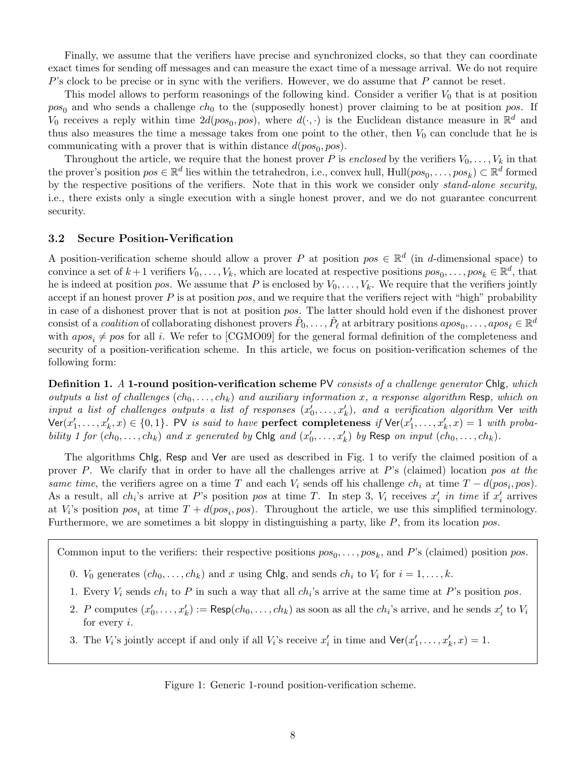Finally, we assume that the verifiers have precise and synchronized clocks, so that they can coordinate exact times for sending off messages and can measure the exact time of a message arrival. We do not require  $P$ 's clock to be precise or in sync with the verifiers. However, we do assume that  $P$  cannot be reset.

This model allows to perform reasonings of the following kind. Consider a verifier  $V_0$  that is at position  $pos_0$  and who sends a challenge  $ch_0$  to the (supposedly honest) prover claiming to be at position pos. If  $V_0$  receives a reply within time  $2d(pos_0, pos)$ , where  $d(\cdot, \cdot)$  is the Euclidean distance measure in  $\mathbb{R}^d$  and thus also measures the time a message takes from one point to the other, then  $V_0$  can conclude that he is communicating with a prover that is within distance  $d(pos_0, pos)$ .

Throughout the article, we require that the honest prover P is enclosed by the verifiers  $V_0, \ldots, V_k$  in that the prover's position  $pos \in \mathbb{R}^d$  lies within the tetrahedron, i.e., convex hull,  $\text{Hull}(pos_0, \ldots, pos_k) \subset \mathbb{R}^d$  formed by the respective positions of the verifiers. Note that in this work we consider only stand-alone security, i.e., there exists only a single execution with a single honest prover, and we do not guarantee concurrent security.

## 3.2 Secure Position-Verification

A position-verification scheme should allow a prover P at position  $pos \in \mathbb{R}^d$  (in d-dimensional space) to convince a set of  $k+1$  verifiers  $V_0, \ldots, V_k$ , which are located at respective positions  $pos_0, \ldots, pos_k \in \mathbb{R}^d$ , that he is indeed at position pos. We assume that P is enclosed by  $V_0, \ldots, V_k$ . We require that the verifiers jointly accept if an honest prover  $P$  is at position pos, and we require that the verifiers reject with "high" probability in case of a dishonest prover that is not at position pos. The latter should hold even if the dishonest prover  $\text{consist of a } coalition \text{ of collaborating dishonest provers } \hat{P}_0, \ldots, \hat{P}_\ell \text{ at arbitrary positions }apos_0, \ldots, anos_\ell \in \mathbb{R}^d$ with  $apos_i \neq pos$  for all i. We refer to [CGMO09] for the general formal definition of the completeness and security of a position-verification scheme. In this article, we focus on position-verification schemes of the following form:

**Definition 1.** A 1-round position-verification scheme PV consists of a challenge generator Chlg, which outputs a list of challenges  $(ch_0, \ldots, ch_k)$  and auxiliary information x, a response algorithm Resp, which on input a list of challenges outputs a list of responses  $(x'_0, \ldots, x'_k)$ , and a verification algorithm Ver with  $\mathsf{Ver}(x'_1,\ldots,x'_k,x) \in \{0,1\}$ . PV is said to have perfect completeness if  $\mathsf{Ver}(x'_1,\ldots,x'_k,x) = 1$  with probability 1 for  $(ch_0, \ldots, ch_k)$  and x generated by Chlg and  $(x'_0, \ldots, x'_k)$  by Resp on input  $(ch_0, \ldots, ch_k)$ .

The algorithms Chlg, Resp and Ver are used as described in Fig. 1 to verify the claimed position of a prover P. We clarify that in order to have all the challenges arrive at  $P$ 's (claimed) location pos at the same time, the verifiers agree on a time T and each  $V_i$  sends off his challenge  $ch_i$  at time  $T - d(pos_i, pos)$ . As a result, all  $ch_i$ 's arrive at P's position pos at time T. In step 3,  $V_i$  receives  $x'_i$  in time if  $x'_i$  arrives at  $V_i$ 's position  $pos_i$  at time  $T + d(pos_i, pos)$ . Throughout the article, we use this simplified terminology. Furthermore, we are sometimes a bit sloppy in distinguishing a party, like P, from its location pos.

Common input to the verifiers: their respective positions  $pos_0, \ldots, pos_k$ , and P's (claimed) position pos.

- 0.  $V_0$  generates  $(ch_0, \ldots, ch_k)$  and x using Chlg, and sends  $ch_i$  to  $V_i$  for  $i = 1, \ldots, k$ .
- 1. Every  $V_i$  sends  $ch_i$  to P in such a way that all  $ch_i$ 's arrive at the same time at P's position pos.
- 2. P computes  $(x'_0, \ldots, x'_k) := \text{Resp}(ch_0, \ldots, ch_k)$  as soon as all the  $ch_i$ 's arrive, and he sends  $x'_i$  to  $V_i$ for every i.
- 3. The  $V_i$ 's jointly accept if and only if all  $V_i$ 's receive  $x'_i$  in time and  $\text{Ver}(x'_1, \ldots, x'_k, x) = 1$ .

Figure 1: Generic 1-round position-verification scheme.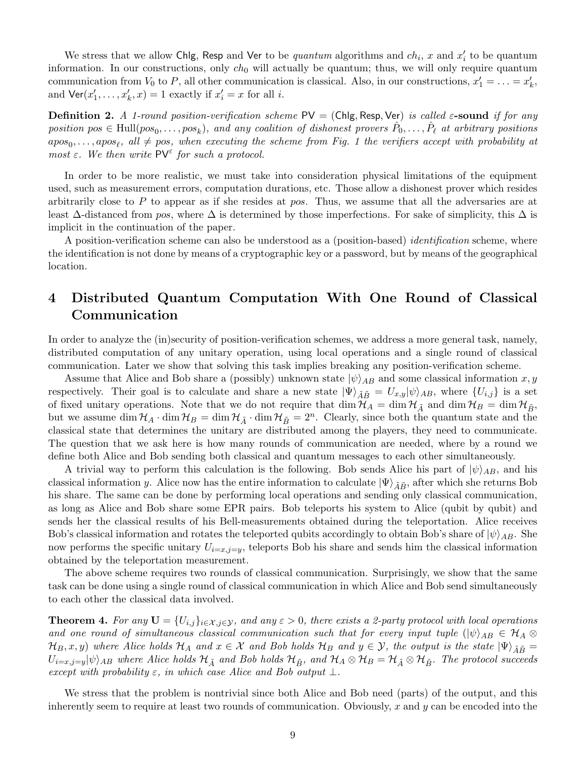We stress that we allow Chlg, Resp and Ver to be *quantum* algorithms and  $ch_i$ , x and  $x'_i$  to be quantum information. In our constructions, only  $ch_0$  will actually be quantum; thus, we will only require quantum communication from  $V_0$  to P, all other communication is classical. Also, in our constructions,  $x'_1 = \ldots = x'_k$ , and  $\textsf{Ver}(x'_1, \ldots, x'_k, x) = 1$  exactly if  $x'_i = x$  for all *i*.

Definition 2. A 1-round position-verification scheme  $PV = (Chlg, Resp, Ver)$  is called  $\varepsilon$ -sound if for any position pos  $\in$  Hull(pos<sub>0</sub>, ..., pos<sub>k</sub>), and any coalition of dishonest provers  $\hat{P}_0,\ldots,\hat{P}_\ell$  at arbitrary positions  $apos_0, \ldots, a pos_\ell, \ all \neq pos, \ when \ execution \ the \ scheme \ from \ Fig. 1 the \ verifies \ accept \ with \ probability \ at$ most  $\varepsilon$ . We then write PV<sup> $\varepsilon$ </sup> for such a protocol.

In order to be more realistic, we must take into consideration physical limitations of the equipment used, such as measurement errors, computation durations, etc. Those allow a dishonest prover which resides arbitrarily close to  $P$  to appear as if she resides at pos. Thus, we assume that all the adversaries are at least  $\Delta$ -distanced from pos, where  $\Delta$  is determined by those imperfections. For sake of simplicity, this  $\Delta$  is implicit in the continuation of the paper.

A position-verification scheme can also be understood as a (position-based) identification scheme, where the identification is not done by means of a cryptographic key or a password, but by means of the geographical location.

# 4 Distributed Quantum Computation With One Round of Classical Communication

In order to analyze the (in)security of position-verification schemes, we address a more general task, namely, distributed computation of any unitary operation, using local operations and a single round of classical communication. Later we show that solving this task implies breaking any position-verification scheme.

Assume that Alice and Bob share a (possibly) unknown state  $|\psi\rangle_{AB}$  and some classical information x, y respectively. Their goal is to calculate and share a new state  $|\Psi\rangle_{\tilde{A}\tilde{B}} = U_{x,y}|\psi\rangle_{AB}$ , where  $\{U_{i,j}\}$  is a set of fixed unitary operations. Note that we do not require that  $\dim \mathcal{H}_A = \dim \mathcal{H}_{\tilde{A}}$  and  $\dim \mathcal{H}_B = \dim \mathcal{H}_{\tilde{B}}$ , but we assume  $\dim \mathcal{H}_A \cdot \dim \mathcal{H}_B = \dim \mathcal{H}_{\tilde{A}} \cdot \dim \mathcal{H}_{\tilde{B}} = 2^n$ . Clearly, since both the quantum state and the classical state that determines the unitary are distributed among the players, they need to communicate. The question that we ask here is how many rounds of communication are needed, where by a round we define both Alice and Bob sending both classical and quantum messages to each other simultaneously.

A trivial way to perform this calculation is the following. Bob sends Alice his part of  $|\psi\rangle_{AB}$ , and his classical information y. Alice now has the entire information to calculate  $|\Psi\rangle_{\tilde{A}\tilde{B}}$ , after which she returns Bob his share. The same can be done by performing local operations and sending only classical communication, as long as Alice and Bob share some EPR pairs. Bob teleports his system to Alice (qubit by qubit) and sends her the classical results of his Bell-measurements obtained during the teleportation. Alice receives Bob's classical information and rotates the teleported qubits accordingly to obtain Bob's share of  $|\psi\rangle_{AB}$ . She now performs the specific unitary  $U_{i=x,j=y}$ , teleports Bob his share and sends him the classical information obtained by the teleportation measurement.

The above scheme requires two rounds of classical communication. Surprisingly, we show that the same task can be done using a single round of classical communication in which Alice and Bob send simultaneously to each other the classical data involved.

**Theorem 4.** For any  $\mathbf{U} = \{U_{i,j}\}_{i \in \mathcal{X}, j \in \mathcal{Y}}$ , and any  $\varepsilon > 0$ , there exists a 2-party protocol with local operations and one round of simultaneous classical communication such that for every input tuple  $(|\psi\rangle_{AB} \in \mathcal{H}_A \otimes$  $\mathcal{H}_B, x, y$ ) where Alice holds  $\mathcal{H}_A$  and  $x \in \mathcal{X}$  and Bob holds  $\mathcal{H}_B$  and  $y \in \mathcal{Y}$ , the output is the state  $|\Psi\rangle_{\tilde{A}\tilde{B}} =$  $U_{i=x,j=y}|\psi\rangle_{AB}$  where Alice holds  $\mathcal{H}_{\tilde{A}}$  and Bob holds  $\mathcal{H}_{\tilde{B}}$ , and  $\mathcal{H}_{A}\otimes\mathcal{H}_{B}=\mathcal{H}_{\tilde{A}}\otimes\mathcal{H}_{\tilde{B}}$ . The protocol succeeds except with probability  $\varepsilon$ , in which case Alice and Bob output  $\bot$ .

We stress that the problem is nontrivial since both Alice and Bob need (parts) of the output, and this inherently seem to require at least two rounds of communication. Obviously, x and  $y$  can be encoded into the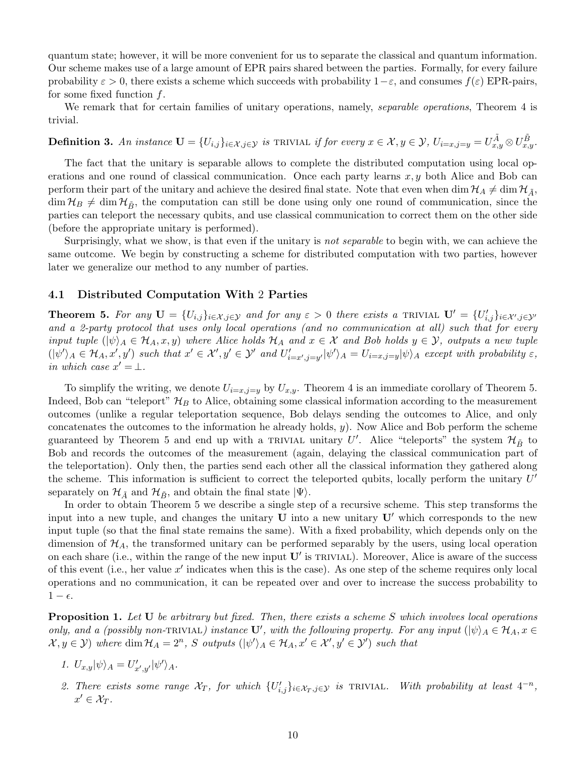quantum state; however, it will be more convenient for us to separate the classical and quantum information. Our scheme makes use of a large amount of EPR pairs shared between the parties. Formally, for every failure probability  $\varepsilon > 0$ , there exists a scheme which succeeds with probability  $1-\varepsilon$ , and consumes  $f(\varepsilon)$  EPR-pairs, for some fixed function  $f$ .

We remark that for certain families of unitary operations, namely, *separable operations*, Theorem 4 is trivial.

# **Definition 3.** An instance  $\mathbf{U} = \{U_{i,j}\}_{i \in \mathcal{X}, j \in \mathcal{Y}}$  is trivial if for every  $x \in \mathcal{X}, y \in \mathcal{Y}, U_{i=x, j=y} = U_{x,y}^{\tilde{A}} \otimes U_{x,y}^{\tilde{B}}$ .

The fact that the unitary is separable allows to complete the distributed computation using local operations and one round of classical communication. Once each party learns  $x, y$  both Alice and Bob can perform their part of the unitary and achieve the desired final state. Note that even when dim  $\mathcal{H}_A \neq \dim \mathcal{H}_{\tilde{A}}$ ,  $\dim H_B \neq \dim H_{\tilde{B}}$ , the computation can still be done using only one round of communication, since the parties can teleport the necessary qubits, and use classical communication to correct them on the other side (before the appropriate unitary is performed).

Surprisingly, what we show, is that even if the unitary is *not separable* to begin with, we can achieve the same outcome. We begin by constructing a scheme for distributed computation with two parties, however later we generalize our method to any number of parties.

## 4.1 Distributed Computation With 2 Parties

**Theorem 5.** For any  $\mathbf{U} = \{U_{i,j}\}_{i \in \mathcal{X}, j \in \mathcal{Y}}$  and for any  $\varepsilon > 0$  there exists a TRIVIAL  $\mathbf{U}' = \{U'_{i,j}\}_{i \in \mathcal{X}', j \in \mathcal{Y}'}$ and a 2-party protocol that uses only local operations (and no communication at all) such that for every input tuple  $(|\psi\rangle_A \in \mathcal{H}_A, x, y)$  where Alice holds  $\mathcal{H}_A$  and  $x \in \mathcal{X}$  and Bob holds  $y \in \mathcal{Y}$ , outputs a new tuple  $(|\psi'\rangle_A \in \mathcal{H}_A, x', y')$  such that  $x' \in \mathcal{X}', y' \in \mathcal{Y}'$  and  $U'_{i=x', j=y'}|\psi'\rangle_A = U_{i=x, j=y}|\psi\rangle_A$  except with probability  $\varepsilon$ , in which case  $x' = \perp$ .

To simplify the writing, we denote  $U_{i=x,j=y}$  by  $U_{x,y}$ . Theorem 4 is an immediate corollary of Theorem 5. Indeed, Bob can "teleport"  $\mathcal{H}_B$  to Alice, obtaining some classical information according to the measurement outcomes (unlike a regular teleportation sequence, Bob delays sending the outcomes to Alice, and only concatenates the outcomes to the information he already holds,  $y$ ). Now Alice and Bob perform the scheme guaranteed by Theorem 5 and end up with a TRIVIAL unitary U'. Alice "teleports" the system  $\mathcal{H}_{\tilde{B}}$  to Bob and records the outcomes of the measurement (again, delaying the classical communication part of the teleportation). Only then, the parties send each other all the classical information they gathered along the scheme. This information is sufficient to correct the teleported qubits, locally perform the unitary  $U'$ separately on  $\mathcal{H}_{\tilde{A}}$  and  $\mathcal{H}_{\tilde{B}}$ , and obtain the final state  $|\Psi\rangle$ .

In order to obtain Theorem 5 we describe a single step of a recursive scheme. This step transforms the input into a new tuple, and changes the unitary  $U$  into a new unitary  $U'$  which corresponds to the new input tuple (so that the final state remains the same). With a fixed probability, which depends only on the dimension of  $\mathcal{H}_A$ , the transformed unitary can be performed separably by the users, using local operation on each share (i.e., within the range of the new input  $\mathbf{U}'$  is TRIVIAL). Moreover, Alice is aware of the success of this event (i.e., her value  $x'$  indicates when this is the case). As one step of the scheme requires only local operations and no communication, it can be repeated over and over to increase the success probability to  $1 - \epsilon$ .

Proposition 1. Let U be arbitrary but fixed. Then, there exists a scheme S which involves local operations only, and a (possibly non-TRIVIAL) instance  $\mathbf{U}'$ , with the following property. For any input  $(|\psi\rangle_A \in \mathcal{H}_A, x \in$  $\mathcal{X}, y \in \mathcal{Y}$ ) where dim  $\mathcal{H}_A = 2^n$ , S outputs  $(|\psi'\rangle_A \in \mathcal{H}_A, x' \in \mathcal{X}', y' \in \mathcal{Y}'$ ) such that

- 1.  $U_{x,y}|\psi\rangle_A = U'_{x',y'}|\psi'\rangle_A.$
- 2. There exists some range  $\mathcal{X}_T$ , for which  $\{U'_{i,j}\}_{i\in\mathcal{X}_T,j\in\mathcal{Y}}$  is TRIVIAL. With probability at least  $4^{-n}$ ,  $x' \in \mathcal{X}_T$ .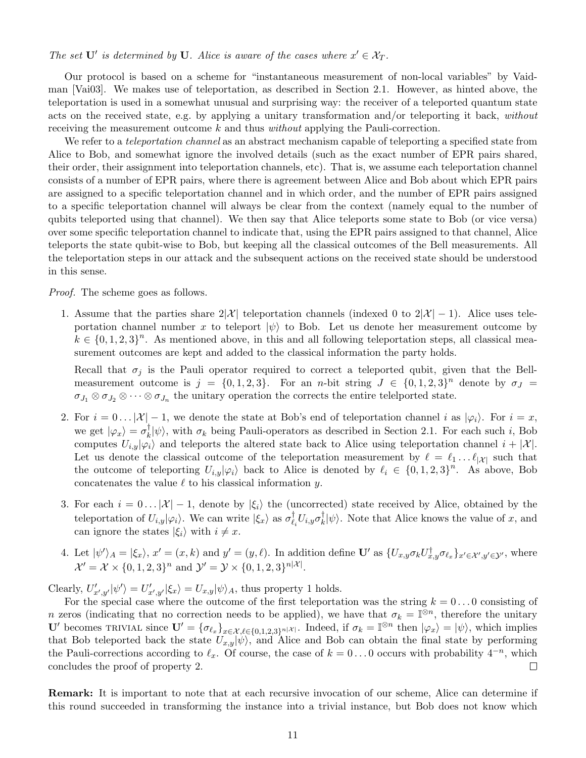The set  $\mathbf{U}'$  is determined by  $\mathbf{U}$ . Alice is aware of the cases where  $x' \in \mathcal{X}_T$ .

Our protocol is based on a scheme for "instantaneous measurement of non-local variables" by Vaidman [Vai03]. We makes use of teleportation, as described in Section 2.1. However, as hinted above, the teleportation is used in a somewhat unusual and surprising way: the receiver of a teleported quantum state acts on the received state, e.g. by applying a unitary transformation and/or teleporting it back, without receiving the measurement outcome k and thus without applying the Pauli-correction.

We refer to a *teleportation channel* as an abstract mechanism capable of teleporting a specified state from Alice to Bob, and somewhat ignore the involved details (such as the exact number of EPR pairs shared, their order, their assignment into teleportation channels, etc). That is, we assume each teleportation channel consists of a number of EPR pairs, where there is agreement between Alice and Bob about which EPR pairs are assigned to a specific teleportation channel and in which order, and the number of EPR pairs assigned to a specific teleportation channel will always be clear from the context (namely equal to the number of qubits teleported using that channel). We then say that Alice teleports some state to Bob (or vice versa) over some specific teleportation channel to indicate that, using the EPR pairs assigned to that channel, Alice teleports the state qubit-wise to Bob, but keeping all the classical outcomes of the Bell measurements. All the teleportation steps in our attack and the subsequent actions on the received state should be understood in this sense.

Proof. The scheme goes as follows.

1. Assume that the parties share  $2|\mathcal{X}|$  teleportation channels (indexed 0 to  $2|\mathcal{X}|-1$ ). Alice uses teleportation channel number x to teleport  $|\psi\rangle$  to Bob. Let us denote her measurement outcome by  $k \in \{0, 1, 2, 3\}^n$ . As mentioned above, in this and all following teleportation steps, all classical measurement outcomes are kept and added to the classical information the party holds.

Recall that  $\sigma_j$  is the Pauli operator required to correct a teleported qubit, given that the Bellmeasurement outcome is  $j = \{0, 1, 2, 3\}$ . For an n-bit string  $J \in \{0, 1, 2, 3\}^n$  denote by  $\sigma_J =$  $\sigma_{J_1} \otimes \sigma_{J_2} \otimes \cdots \otimes \sigma_{J_n}$  the unitary operation the corrects the entire telelported state.

- 2. For  $i = 0 \dots |\mathcal{X}| 1$ , we denote the state at Bob's end of teleportation channel i as  $|\varphi_i\rangle$ . For  $i = x$ , we get  $|\varphi_x\rangle = \sigma_k^{\dagger}$  $\bar{k}|\psi\rangle$ , with  $\sigma_k$  being Pauli-operators as described in Section 2.1. For each such i, Bob computes  $U_{i,y}|\varphi_i\rangle$  and teleports the altered state back to Alice using teleportation channel  $i + |\mathcal{X}|$ . Let us denote the classical outcome of the teleportation measurement by  $\ell = \ell_1 ... \ell_{|\mathcal{X}|}$  such that the outcome of teleporting  $U_{i,y}|\varphi_i\rangle$  back to Alice is denoted by  $\ell_i \in \{0, 1, 2, 3\}^n$ . As above, Bob concatenates the value  $\ell$  to his classical information y.
- 3. For each  $i = 0 \dots |\mathcal{X}| 1$ , denote by  $|\xi_i\rangle$  the (uncorrected) state received by Alice, obtained by the teleportation of  $U_{i,y}|\varphi_i\rangle$ . We can write  $|\xi_x\rangle$  as  $\sigma_{\ell}^{\dagger}$  $_{\ell _{i}}^{\dagger }U_{i,y}\sigma _{k}^{\dagger }$  $\bar{k}|\psi\rangle$ . Note that Alice knows the value of x, and can ignore the states  $|\xi_i\rangle$  with  $i \neq x$ .
- 4. Let  $|\psi'\rangle_A = |\xi_x\rangle$ ,  $x' = (x, k)$  and  $y' = (y, \ell)$ . In addition define U' as  $\{U_{x,y}\sigma_k U_{x,y}^\dagger \sigma_{\ell_x}\}_{x' \in \mathcal{X}', y' \in \mathcal{Y}'}$ , where  $\mathcal{X}' = \mathcal{X} \times \{0, 1, 2, 3\}^n$  and  $\mathcal{Y}' = \mathcal{Y} \times \{0, 1, 2, 3\}^{n|\mathcal{X}|}.$

Clearly,  $U'_{x',y'}|\psi'\rangle = U'_{x',y'}|\xi_x\rangle = U_{x,y}|\psi\rangle_A$ , thus property 1 holds.

For the special case where the outcome of the first teleportation was the string  $k = 0 \dots 0$  consisting of n zeros (indicating that no correction needs to be applied), we have that  $\sigma_k = \mathbb{I}^{\otimes n}$ , therefore the unitary U' becomes TRIVIAL since  $\mathbf{U}' = {\sigma_{\ell_x}}_{x \in \mathcal{X}, \ell \in \{0,1,2,3\}^{n|\mathcal{X}|}}$ . Indeed, if  $\sigma_k = \mathbb{I}^{\otimes n}$  then  $|\varphi_x\rangle = |\psi\rangle$ , which implies that Bob teleported back the state  $U_{x,y}|\psi\rangle$ , and Alice and Bob can obtain the final state by performing the Pauli-corrections according to  $\ell_x$ . Of course, the case of  $k = 0 \dots 0$  occurs with probability  $4^{-n}$ , which concludes the proof of property 2.  $\Box$ 

Remark: It is important to note that at each recursive invocation of our scheme, Alice can determine if this round succeeded in transforming the instance into a trivial instance, but Bob does not know which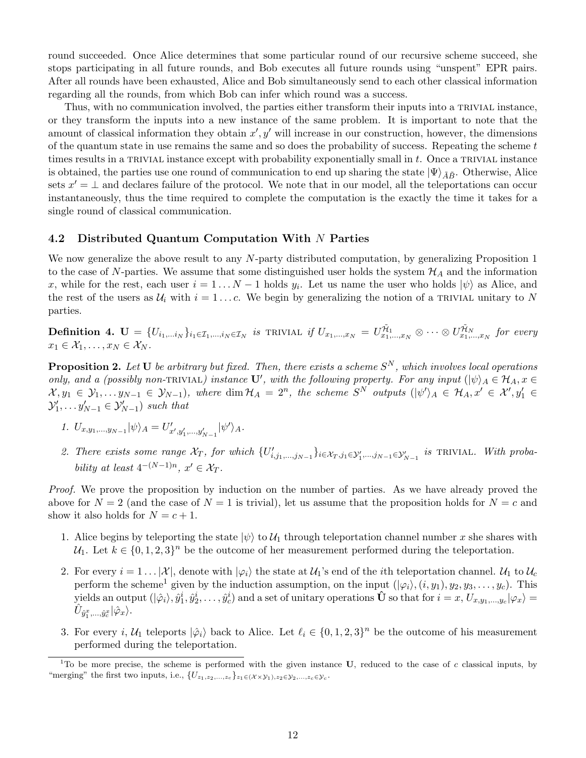round succeeded. Once Alice determines that some particular round of our recursive scheme succeed, she stops participating in all future rounds, and Bob executes all future rounds using "unspent" EPR pairs. After all rounds have been exhausted, Alice and Bob simultaneously send to each other classical information regarding all the rounds, from which Bob can infer which round was a success.

Thus, with no communication involved, the parties either transform their inputs into a TRIVIAL instance, or they transform the inputs into a new instance of the same problem. It is important to note that the amount of classical information they obtain  $x', y'$  will increase in our construction, however, the dimensions of the quantum state in use remains the same and so does the probability of success. Repeating the scheme t times results in a TRIVIAL instance except with probability exponentially small in t. Once a TRIVIAL instance is obtained, the parties use one round of communication to end up sharing the state  $|\Psi\rangle_{\tilde{A}\tilde{B}}$ . Otherwise, Alice sets  $x' = \perp$  and declares failure of the protocol. We note that in our model, all the teleportations can occur instantaneously, thus the time required to complete the computation is the exactly the time it takes for a single round of classical communication.

## 4.2 Distributed Quantum Computation With N Parties

We now generalize the above result to any N-party distributed computation, by generalizing Proposition 1 to the case of N-parties. We assume that some distinguished user holds the system  $\mathcal{H}_A$  and the information x, while for the rest, each user  $i = 1...N - 1$  holds  $y_i$ . Let us name the user who holds  $|\psi\rangle$  as Alice, and the rest of the users as  $U_i$  with  $i = 1...c$ . We begin by generalizing the notion of a TRIVIAL unitary to N parties.

 $\textbf{Definition 4. } \mathbf{U} = \{U_{i_1, \dots i_N}\}_{i_1 \in \mathcal{I}_1, \dots, i_N \in \mathcal{I}_N} \hspace{1mm} \textit{is} \hspace{1mm} \text{TRIVIAL} \hspace{1mm} \textit{if} \hspace{1mm} U_{x_1, \dots, x_N} = U^{\mathcal{\tilde{H}}_1}_{x_1, \dots, x_N} \otimes \cdots \otimes U^{\mathcal{\tilde{H}}_N}_{x_1, \dots, x_N} \hspace{1mm} \textit{for} \hspace{1mm} \textit{every}$  $x_1 \in \mathcal{X}_1, \ldots, x_N \in \mathcal{X}_N$ .

**Proposition 2.** Let U be arbitrary but fixed. Then, there exists a scheme  $S^N$ , which involves local operations only, and a (possibly non-TRIVIAL) instance  $\mathbf{U}'$ , with the following property. For any input  $(|\psi\rangle_A \in \mathcal{H}_A, x \in$  $\mathcal{X}, y_1 \in \mathcal{Y}_1, \ldots y_{N-1} \in \mathcal{Y}_{N-1}$ , where  $\dim \mathcal{H}_A = 2^n$ , the scheme  $S^N$  outputs  $(|\psi'\rangle_A \in \mathcal{H}_A, x' \in \mathcal{X}', y_1' \in \mathcal{Y}'$  $\mathcal{Y}'_1, \ldots \mathcal{Y}'_{N-1} \in \mathcal{Y}'_{N-1}$  such that

- 1.  $U_{x,y_1,...,y_{N-1}} |\psi\rangle_A = U'_{x',y'_1,...,y'_{N-1}} |\psi'\rangle_A$ .
- 2. There exists some range  $\mathcal{X}_T$ , for which  $\{U'_{i,j_1,...,j_{N-1}}\}_{i\in\mathcal{X}_T,j_1\in\mathcal{Y}'_1,...,j_{N-1}\in\mathcal{Y}'_{N-1}}$  is TRIVIAL. With probability at least  $4^{-(N-1)n}$ ,  $x' \in \mathcal{X}_T$ .

Proof. We prove the proposition by induction on the number of parties. As we have already proved the above for  $N = 2$  (and the case of  $N = 1$  is trivial), let us assume that the proposition holds for  $N = c$  and show it also holds for  $N = c + 1$ .

- 1. Alice begins by teleporting the state  $|\psi\rangle$  to  $\mathcal{U}_1$  through teleportation channel number x she shares with  $\mathcal{U}_1$ . Let  $k \in \{0, 1, 2, 3\}^n$  be the outcome of her measurement performed during the teleportation.
- 2. For every  $i = 1 \ldots |\mathcal{X}|$ , denote with  $|\varphi_i\rangle$  the state at  $\mathcal{U}_1$ 's end of the *i*th teleportation channel.  $\mathcal{U}_1$  to  $\mathcal{U}_c$ perform the scheme<sup>1</sup> given by the induction assumption, on the input  $(|\varphi_i\rangle, (i, y_1), y_2, y_3, \ldots, y_c)$ . This  $\text{yields an output } (|\hat{\varphi}_i\rangle, \hat{y}_1^i, \hat{y}_2^i, \dots, \hat{y}_c^i) \text{ and a set of unitary operations } \mathbf{\hat{U}} \text{ so that for } i = x, U_{x,y_1,\dots,y_c}|\varphi_x\rangle = 0$  $\hat{U}_{\hat{y}^x_1,...,\hat{y}^x_c}|\hat{\varphi}_x\rangle.$
- 3. For every i,  $\mathcal{U}_1$  teleports  $|\hat{\varphi}_i\rangle$  back to Alice. Let  $\ell_i \in \{0, 1, 2, 3\}^n$  be the outcome of his measurement performed during the teleportation.

 $1$ To be more precise, the scheme is performed with the given instance U, reduced to the case of c classical inputs, by "merging" the first two inputs, i.e.,  $\{U_{z_1,z_2,...,z_c}\}_{z_1 \in (X \times Y_1), z_2 \in Y_2,...,z_c \in Y_c}$ .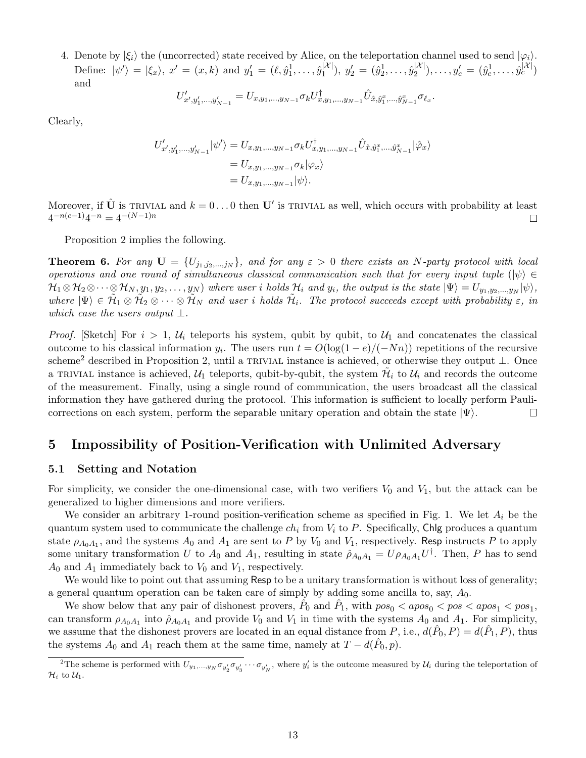4. Denote by  $|\xi_i\rangle$  the (uncorrected) state received by Alice, on the teleportation channel used to send  $|\varphi_i\rangle$ . Define:  $|\psi'\rangle = |\xi_x\rangle, x' = (x, k)$  and  $y'_1 = (\ell, \hat{y}_1^1, \dots, \hat{y}_1^{|\mathcal{X}|})$  $y'_1^{|\mathcal{X}|}$ ,  $y'_2 = (\hat{y}_2^1, \ldots, \hat{y}_2^{|\mathcal{X}|})$  $\hat{y}_{2}^{|\mathcal{X}|}$ ,...,  $y_{c}^{'} = (\hat{y}_{c}^{1}, \ldots, \hat{y}_{c}^{|\mathcal{X}|})$ and

$$
U'_{x',y'_1,\dots,y'_{N-1}} = U_{x,y_1,\dots,y_{N-1}} \sigma_k U_{x,y_1,\dots,y_{N-1}}^\dagger \hat U_{\hat x,\hat y_1^x,\dots,\hat y_{N-1}^x} \sigma_{\ell_x}.
$$

Clearly,

$$
U'_{x',y'_1,...,y'_{N-1}}|\psi'\rangle = U_{x,y_1,...,y_{N-1}} \sigma_k U_{x,y_1,...,y_{N-1}}^{\dagger} \hat{U}_{\hat{x},\hat{y}_1^x,...,\hat{y}_{N-1}^x} |\hat{\varphi}_x\rangle
$$
  
=  $U_{x,y_1,...,y_{N-1}} \sigma_k |\varphi_x\rangle$   
=  $U_{x,y_1,...,y_{N-1}} |\psi\rangle$ .

Moreover, if  $\hat{\mathbf{U}}$  is trivial and  $k = 0 \dots 0$  then  $\mathbf{U}'$  is trivial as well, which occurs with probability at least  $4^{-n(c-1)}4^{-n} = 4^{-(N-1)n}$  $\Box$ 

Proposition 2 implies the following.

**Theorem 6.** For any  $U = \{U_{j_1,j_2,...,j_N}\}\$ , and for any  $\varepsilon > 0$  there exists an N-party protocol with local operations and one round of simultaneous classical communication such that for every input tuple  $(\ket{\psi} \in$  $\mathcal{H}_1\otimes\mathcal{H}_2\otimes\cdots\otimes\mathcal{H}_N, y_1,y_2,\ldots,y_N)$  where user i holds  $\mathcal{H}_i$  and  $y_i$ , the output is the state  $|\Psi\rangle=U_{y_1,y_2,\ldots,y_N}|\psi\rangle,$ where  $|\Psi\rangle \in \tilde{\mathcal{H}}_1 \otimes \tilde{\mathcal{H}}_2 \otimes \cdots \otimes \tilde{\mathcal{H}}_N$  and user i holds  $\tilde{\mathcal{H}}_i$ . The protocol succeeds except with probability  $\varepsilon$ , in which case the users output  $\perp$ .

*Proof.* [Sketch] For  $i > 1$ ,  $U_i$  teleports his system, qubit by qubit, to  $U_1$  and concatenates the classical outcome to his classical information  $y_i$ . The users run  $t = O(\log(1-e)/(-Nn))$  repetitions of the recursive scheme<sup>2</sup> described in Proposition 2, until a TRIVIAL instance is achieved, or otherwise they output ⊥. Once a TRIVIAL instance is achieved,  $\mathcal{U}_1$  teleports, qubit-by-qubit, the system  $\mathcal{H}_i$  to  $\mathcal{U}_i$  and records the outcome of the measurement. Finally, using a single round of communication, the users broadcast all the classical information they have gathered during the protocol. This information is sufficient to locally perform Paulicorrections on each system, perform the separable unitary operation and obtain the state  $|\Psi\rangle$ .  $\Box$ 

## 5 Impossibility of Position-Verification with Unlimited Adversary

#### 5.1 Setting and Notation

For simplicity, we consider the one-dimensional case, with two verifiers  $V_0$  and  $V_1$ , but the attack can be generalized to higher dimensions and more verifiers.

We consider an arbitrary 1-round position-verification scheme as specified in Fig. 1. We let  $A_i$  be the quantum system used to communicate the challenge  $ch_i$  from  $V_i$  to P. Specifically, Chlg produces a quantum state  $\rho_{A_0A_1}$ , and the systems  $A_0$  and  $A_1$  are sent to P by  $V_0$  and  $V_1$ , respectively. Resp instructs P to apply some unitary transformation U to  $A_0$  and  $A_1$ , resulting in state  $\hat{\rho}_{A_0A_1} = U\rho_{A_0A_1}U^{\dagger}$ . Then, P has to send  $A_0$  and  $A_1$  immediately back to  $V_0$  and  $V_1$ , respectively.

We would like to point out that assuming Resp to be a unitary transformation is without loss of generality; a general quantum operation can be taken care of simply by adding some ancilla to, say,  $A_0$ .

We show below that any pair of dishonest provers,  $\hat{P}_0$  and  $\hat{P}_1$ , with  $pos_0 < pos_0 < pos_1 < pos_1$ ,  $pos_1 < pos_1$ , can transform  $\rho_{A_0A_1}$  into  $\hat{\rho}_{A_0A_1}$  and provide  $V_0$  and  $V_1$  in time with the systems  $A_0$  and  $A_1$ . For simplicity, we assume that the dishonest provers are located in an equal distance from P, i.e.,  $d(\hat{P}_0, P) = d(\hat{P}_1, P)$ , thus the systems  $A_0$  and  $A_1$  reach them at the same time, namely at  $T - d(\hat{P}_0, p)$ .

<sup>&</sup>lt;sup>2</sup>The scheme is performed with  $U_{y_1,...,y_N} \sigma_{y'_2} \sigma_{y'_3} \cdots \sigma_{y'_N}$ , where  $y'_i$  is the outcome measured by  $\mathcal{U}_i$  during the teleportation of  $\mathcal{H}_i$  to  $\mathcal{U}_1$ .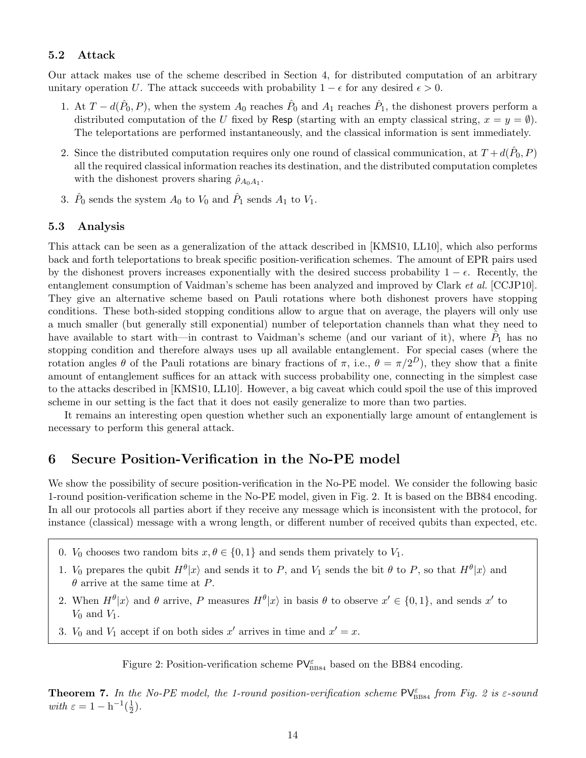#### 5.2 Attack

Our attack makes use of the scheme described in Section 4, for distributed computation of an arbitrary unitary operation U. The attack succeeds with probability  $1 - \epsilon$  for any desired  $\epsilon > 0$ .

- 1. At  $T d(\hat{P}_0, P)$ , when the system  $A_0$  reaches  $\hat{P}_0$  and  $A_1$  reaches  $\hat{P}_1$ , the dishonest provers perform a distributed computation of the U fixed by Resp (starting with an empty classical string,  $x = y = \emptyset$ ). The teleportations are performed instantaneously, and the classical information is sent immediately.
- 2. Since the distributed computation requires only one round of classical communication, at  $T + d(\hat{P}_0, P)$ all the required classical information reaches its destination, and the distributed computation completes with the dishonest provers sharing  $\hat{\rho}_{A_0A_1}$ .
- 3.  $\hat{P}_0$  sends the system  $A_0$  to  $V_0$  and  $\hat{P}_1$  sends  $A_1$  to  $V_1$ .

## 5.3 Analysis

This attack can be seen as a generalization of the attack described in [KMS10, LL10], which also performs back and forth teleportations to break specific position-verification schemes. The amount of EPR pairs used by the dishonest provers increases exponentially with the desired success probability  $1 - \epsilon$ . Recently, the entanglement consumption of Vaidman's scheme has been analyzed and improved by Clark et al. [CCJP10]. They give an alternative scheme based on Pauli rotations where both dishonest provers have stopping conditions. These both-sided stopping conditions allow to argue that on average, the players will only use a much smaller (but generally still exponential) number of teleportation channels than what they need to have available to start with—in contrast to Vaidman's scheme (and our variant of it), where  $\hat{P}_1$  has no stopping condition and therefore always uses up all available entanglement. For special cases (where the rotation angles  $\theta$  of the Pauli rotations are binary fractions of  $\pi$ , i.e.,  $\theta = \pi/2^D$ , they show that a finite amount of entanglement suffices for an attack with success probability one, connecting in the simplest case to the attacks described in [KMS10, LL10]. However, a big caveat which could spoil the use of this improved scheme in our setting is the fact that it does not easily generalize to more than two parties.

It remains an interesting open question whether such an exponentially large amount of entanglement is necessary to perform this general attack.

## 6 Secure Position-Verification in the No-PE model

We show the possibility of secure position-verification in the No-PE model. We consider the following basic 1-round position-verification scheme in the No-PE model, given in Fig. 2. It is based on the BB84 encoding. In all our protocols all parties abort if they receive any message which is inconsistent with the protocol, for instance (classical) message with a wrong length, or different number of received qubits than expected, etc.

- 0.  $V_0$  chooses two random bits  $x, \theta \in \{0, 1\}$  and sends them privately to  $V_1$ .
- 1. V<sub>0</sub> prepares the qubit  $H^{\theta}|x\rangle$  and sends it to P, and V<sub>1</sub> sends the bit  $\theta$  to P, so that  $H^{\theta}|x\rangle$  and  $\theta$  arrive at the same time at P.
- 2. When  $H^{\theta}|x\rangle$  and  $\theta$  arrive, P measures  $H^{\theta}|x\rangle$  in basis  $\theta$  to observe  $x' \in \{0,1\}$ , and sends  $x'$  to  $V_0$  and  $V_1$ .
- 3.  $V_0$  and  $V_1$  accept if on both sides x' arrives in time and  $x' = x$ .

Figure 2: Position-verification scheme  $\mathsf{PV}_{\text{\tiny BB84}}^{\varepsilon}$  based on the BB84 encoding.

**Theorem 7.** In the No-PE model, the 1-round position-verification scheme  $\mathsf{PV}_{\text{BB84}}^{\varepsilon}$  from Fig. 2 is  $\varepsilon$ -sound with  $\varepsilon = 1 - h^{-1}(\frac{1}{2})$  $(\frac{1}{2})$ .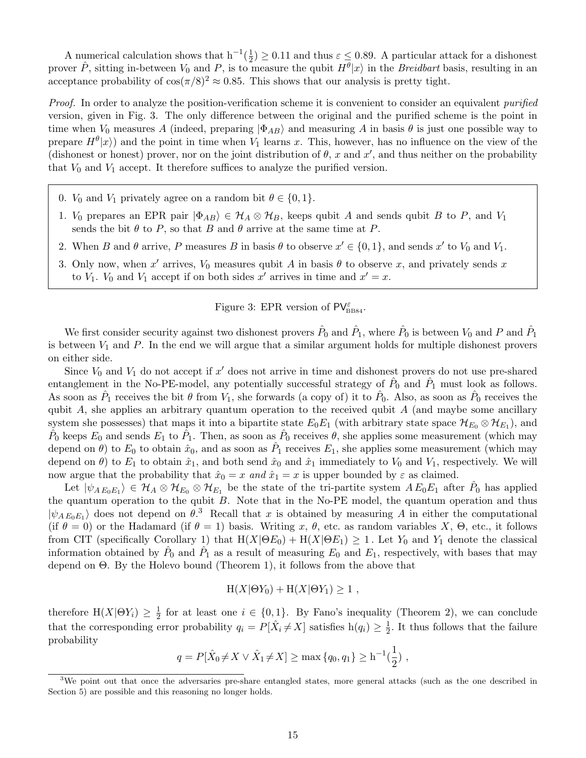A numerical calculation shows that  $h^{-1}(\frac{1}{2})$  $\frac{1}{2}$   $\geq$  0.11 and thus  $\varepsilon \leq 0.89$ . A particular attack for a dishonest prover  $\hat{P}$ , sitting in-between  $V_0$  and  $P$ , is to measure the qubit  $H^{\theta}|x\rangle$  in the *Breidbart* basis, resulting in an acceptance probability of  $\cos(\pi/8)^2 \approx 0.85$ . This shows that our analysis is pretty tight.

Proof. In order to analyze the position-verification scheme it is convenient to consider an equivalent *purified* version, given in Fig. 3. The only difference between the original and the purified scheme is the point in time when  $V_0$  measures A (indeed, preparing  $|\Phi_{AB}\rangle$  and measuring A in basis  $\theta$  is just one possible way to prepare  $H^{\theta}|x\rangle$  and the point in time when  $V_1$  learns x. This, however, has no influence on the view of the (dishonest or honest) prover, nor on the joint distribution of  $\theta$ , x and x', and thus neither on the probability that  $V_0$  and  $V_1$  accept. It therefore suffices to analyze the purified version.

- 0.  $V_0$  and  $V_1$  privately agree on a random bit  $\theta \in \{0, 1\}.$
- 1.  $V_0$  prepares an EPR pair  $|\Phi_{AB}\rangle \in \mathcal{H}_A \otimes \mathcal{H}_B$ , keeps qubit A and sends qubit B to P, and  $V_1$ sends the bit  $\theta$  to P, so that B and  $\theta$  arrive at the same time at P.
- 2. When B and  $\theta$  arrive, P measures B in basis  $\theta$  to observe  $x' \in \{0, 1\}$ , and sends  $x'$  to  $V_0$  and  $V_1$ .
- 3. Only now, when  $x'$  arrives,  $V_0$  measures qubit A in basis  $\theta$  to observe x, and privately sends x to  $V_1$ .  $V_0$  and  $V_1$  accept if on both sides  $x'$  arrives in time and  $x' = x$ .

Figure 3: EPR version of  $\mathsf{PV}_{\text{BB84}}^{\varepsilon}$ .

We first consider security against two dishonest provers  $\hat{P}_0$  and  $\hat{P}_1$ , where  $\hat{P}_0$  is between  $V_0$  and  $P$  and  $\hat{P}_1$ is between  $V_1$  and P. In the end we will argue that a similar argument holds for multiple dishonest provers on either side.

Since  $V_0$  and  $V_1$  do not accept if  $x'$  does not arrive in time and dishonest provers do not use pre-shared entanglement in the No-PE-model, any potentially successful strategy of  $\hat{P}_0$  and  $\hat{P}_1$  must look as follows. As soon as  $\hat{P}_1$  receives the bit  $\theta$  from  $V_1$ , she forwards (a copy of) it to  $\hat{P}_0$ . Also, as soon as  $\hat{P}_0$  receives the qubit  $A$ , she applies an arbitrary quantum operation to the received qubit  $A$  (and maybe some ancillary system she possesses) that maps it into a bipartite state  $E_0E_1$  (with arbitrary state space  $\mathcal{H}_{E_0}\otimes\mathcal{H}_{E_1}$ ), and  $\hat{P}_0$  keeps  $E_0$  and sends  $E_1$  to  $\tilde{P}_1$ . Then, as soon as  $\hat{P}_0$  receives  $\theta$ , she applies some measurement (which may depend on  $\theta$ ) to  $E_0$  to obtain  $\hat{x}_0$ , and as soon as  $\hat{P}_1$  receives  $E_1$ , she applies some measurement (which may depend on  $\theta$ ) to  $E_1$  to obtain  $\hat{x}_1$ , and both send  $\hat{x}_0$  and  $\hat{x}_1$  immediately to  $V_0$  and  $V_1$ , respectively. We will now argue that the probability that  $\hat{x}_0 = x$  and  $\hat{x}_1 = x$  is upper bounded by  $\varepsilon$  as claimed.

Let  $|\psi_{A E_0 E_1}\rangle \in \mathcal{H}_A \otimes \mathcal{H}_{E_0} \otimes \mathcal{H}_{E_1}$  be the state of the tri-partite system  $A E_0 E_1$  after  $\hat{P}_0$  has applied the quantum operation to the qubit  $B$ . Note that in the No-PE model, the quantum operation and thus  $|\psi_{A E_0 E_1}\rangle$  does not depend on  $\theta$ .<sup>3</sup> Recall that x is obtained by measuring A in either the computational (if  $\theta = 0$ ) or the Hadamard (if  $\theta = 1$ ) basis. Writing x,  $\theta$ , etc. as random variables X,  $\Theta$ , etc., it follows from CIT (specifically Corollary 1) that  $H(X|\Theta E_0) + H(X|\Theta E_1) \geq 1$ . Let Y<sub>0</sub> and Y<sub>1</sub> denote the classical information obtained by  $\hat{P}_0$  and  $\hat{P}_1$  as a result of measuring  $E_0$  and  $E_1$ , respectively, with bases that may depend on  $\Theta$ . By the Holevo bound (Theorem 1), it follows from the above that

$$
H(X|\Theta Y_0) + H(X|\Theta Y_1) \ge 1,
$$

therefore  $H(X|\Theta Y_i) \geq \frac{1}{2}$  $\frac{1}{2}$  for at least one  $i \in \{0,1\}$ . By Fano's inequality (Theorem 2), we can conclude that the corresponding error probability  $q_i = P[\hat{X}_i \neq X]$  satisfies  $h(q_i) \geq \frac{1}{2}$  $\frac{1}{2}$ . It thus follows that the failure probability

$$
q = P[\hat{X}_0 \neq X \vee \hat{X}_1 \neq X] \ge \max\{q_0, q_1\} \ge h^{-1}(\frac{1}{2}),
$$

<sup>&</sup>lt;sup>3</sup>We point out that once the adversaries pre-share entangled states, more general attacks (such as the one described in Section 5) are possible and this reasoning no longer holds.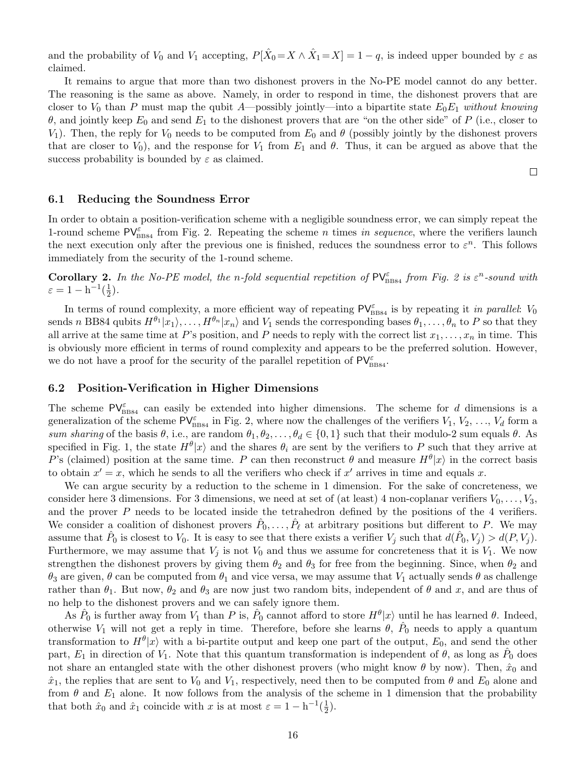and the probability of  $V_0$  and  $V_1$  accepting,  $P[\hat{X}_0 = X \wedge \hat{X}_1 = X] = 1 - q$ , is indeed upper bounded by  $\varepsilon$  as claimed.

It remains to argue that more than two dishonest provers in the No-PE model cannot do any better. The reasoning is the same as above. Namely, in order to respond in time, the dishonest provers that are closer to  $V_0$  than P must map the qubit A—possibly jointly—into a bipartite state  $E_0E_1$  without knowing θ, and jointly keep  $E_0$  and send  $E_1$  to the dishonest provers that are "on the other side" of P (i.e., closer to  $V_1$ ). Then, the reply for  $V_0$  needs to be computed from  $E_0$  and  $\theta$  (possibly jointly by the dishonest provers that are closer to  $V_0$ ), and the response for  $V_1$  from  $E_1$  and  $\theta$ . Thus, it can be argued as above that the success probability is bounded by  $\varepsilon$  as claimed.

 $\Box$ 

## 6.1 Reducing the Soundness Error

In order to obtain a position-verification scheme with a negligible soundness error, we can simply repeat the 1-round scheme  $PV_{BB84}^{\varepsilon}$  from Fig. 2. Repeating the scheme *n* times in sequence, where the verifiers launch the next execution only after the previous one is finished, reduces the soundness error to  $\varepsilon^n$ . This follows immediately from the security of the 1-round scheme.

Corollary 2. In the No-PE model, the n-fold sequential repetition of  $PV_{BB84}^{\varepsilon}$  from Fig. 2 is  $\varepsilon^{n}$ -sound with  $\varepsilon = 1 - h^{-1}(\frac{1}{2})$  $(\frac{1}{2})$ .

In terms of round complexity, a more efficient way of repeating  $\mathsf{PV}_{\text{BB84}}^{\varepsilon}$  is by repeating it in parallel:  $V_0$ sends n BB84 qubits  $H^{\theta_1}|x_1\rangle, \ldots, H^{\theta_n}|x_n\rangle$  and  $V_1$  sends the corresponding bases  $\theta_1, \ldots, \theta_n$  to P so that they all arrive at the same time at P's position, and P needs to reply with the correct list  $x_1, \ldots, x_n$  in time. This is obviously more efficient in terms of round complexity and appears to be the preferred solution. However, we do not have a proof for the security of the parallel repetition of  $\mathsf{PV}^\varepsilon_{\text{BB84}}$ .

## 6.2 Position-Verification in Higher Dimensions

The scheme  $PV_{BB84}^{\varepsilon}$  can easily be extended into higher dimensions. The scheme for d dimensions is a generalization of the scheme  $\mathsf{PV}_{\text{BB84}}^{\varepsilon}$  in Fig. 2, where now the challenges of the verifiers  $V_1, V_2, \ldots, V_d$  form a sum sharing of the basis  $\theta$ , i.e., are random  $\theta_1, \theta_2, \ldots, \theta_d \in \{0, 1\}$  such that their modulo-2 sum equals  $\theta$ . As specified in Fig. 1, the state  $H^{\theta}|x\rangle$  and the shares  $\theta_i$  are sent by the verifiers to P such that they arrive at P's (claimed) position at the same time. P can then reconstruct  $\theta$  and measure  $H^{\theta}|x\rangle$  in the correct basis to obtain  $x' = x$ , which he sends to all the verifiers who check if x' arrives in time and equals x.

We can argue security by a reduction to the scheme in 1 dimension. For the sake of concreteness, we consider here 3 dimensions. For 3 dimensions, we need at set of (at least) 4 non-coplanar verifiers  $V_0, \ldots, V_3$ , and the prover P needs to be located inside the tetrahedron defined by the positions of the 4 verifiers. We consider a coalition of dishonest provers  $\hat{P}_0, \ldots, \hat{P}_\ell$  at arbitrary positions but different to P. We may assume that  $\hat{P}_0$  is closest to  $V_0$ . It is easy to see that there exists a verifier  $V_j$  such that  $d(\hat{P}_0, V_j) > d(P, V_j)$ . Furthermore, we may assume that  $V_j$  is not  $V_0$  and thus we assume for concreteness that it is  $V_1$ . We now strengthen the dishonest provers by giving them  $\theta_2$  and  $\theta_3$  for free from the beginning. Since, when  $\theta_2$  and  $\theta_3$  are given,  $\theta$  can be computed from  $\theta_1$  and vice versa, we may assume that  $V_1$  actually sends  $\theta$  as challenge rather than  $\theta_1$ . But now,  $\theta_2$  and  $\theta_3$  are now just two random bits, independent of  $\theta$  and x, and are thus of no help to the dishonest provers and we can safely ignore them.

As  $\hat{P}_0$  is further away from  $V_1$  than P is,  $\hat{P}_0$  cannot afford to store  $H^{\theta}|x\rangle$  until he has learned  $\theta$ . Indeed, otherwise  $V_1$  will not get a reply in time. Therefore, before she learns  $\hat{\theta}$ ,  $\hat{P}_0$  needs to apply a quantum transformation to  $H^{\theta} |x\rangle$  with a bi-partite output and keep one part of the output,  $E_0$ , and send the other part,  $E_1$  in direction of  $V_1$ . Note that this quantum transformation is independent of  $\theta$ , as long as  $\hat{P}_0$  does not share an entangled state with the other dishonest provers (who might know  $\theta$  by now). Then,  $\hat{x}_0$  and  $\hat{x}_1$ , the replies that are sent to  $V_0$  and  $V_1$ , respectively, need then to be computed from  $\theta$  and  $E_0$  alone and from  $\theta$  and  $E_1$  alone. It now follows from the analysis of the scheme in 1 dimension that the probability that both  $\hat{x}_0$  and  $\hat{x}_1$  coincide with x is at most  $\varepsilon = 1 - h^{-1}(\frac{1}{2})$  $(\frac{1}{2})$ .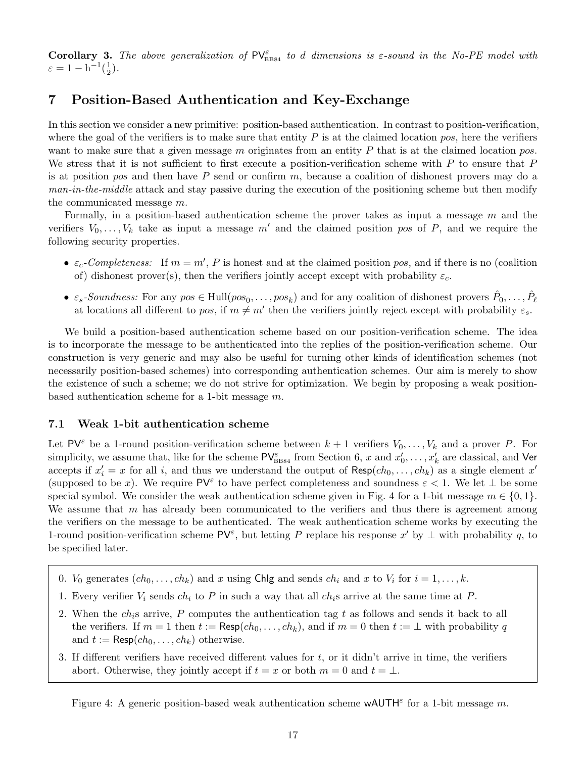Corollary 3. The above generalization of  $PV_{BB84}^{\varepsilon}$  to d dimensions is  $\varepsilon$ -sound in the No-PE model with  $\varepsilon = 1 - h^{-1}(\frac{1}{2})$  $(\frac{1}{2})$ .

## 7 Position-Based Authentication and Key-Exchange

In this section we consider a new primitive: position-based authentication. In contrast to position-verification, where the goal of the verifiers is to make sure that entity  $P$  is at the claimed location pos, here the verifiers want to make sure that a given message m originates from an entity  $P$  that is at the claimed location pos. We stress that it is not sufficient to first execute a position-verification scheme with  $P$  to ensure that  $P$ is at position pos and then have  $P$  send or confirm  $m$ , because a coalition of dishonest provers may do a man-in-the-middle attack and stay passive during the execution of the positioning scheme but then modify the communicated message m.

Formally, in a position-based authentication scheme the prover takes as input a message  $m$  and the verifiers  $V_0, \ldots, V_k$  take as input a message m' and the claimed position pos of P, and we require the following security properties.

- $\varepsilon_c$ -Completeness: If  $m = m'$ , P is honest and at the claimed position pos, and if there is no (coalition of) dishonest prover(s), then the verifiers jointly accept except with probability  $\varepsilon_c$ .
- $\varepsilon_s$ -Soundness: For any  $pos \in Hull(pos_0, \ldots, pos_k)$  and for any coalition of dishonest provers  $\hat{P}_0, \ldots, \hat{P}_\ell$ at locations all different to pos, if  $m \neq m'$  then the verifiers jointly reject except with probability  $\varepsilon_s$ .

We build a position-based authentication scheme based on our position-verification scheme. The idea is to incorporate the message to be authenticated into the replies of the position-verification scheme. Our construction is very generic and may also be useful for turning other kinds of identification schemes (not necessarily position-based schemes) into corresponding authentication schemes. Our aim is merely to show the existence of such a scheme; we do not strive for optimization. We begin by proposing a weak positionbased authentication scheme for a 1-bit message m.

## 7.1 Weak 1-bit authentication scheme

Let PV<sup> $\varepsilon$ </sup> be a 1-round position-verification scheme between  $k + 1$  verifiers  $V_0, \ldots, V_k$  and a prover P. For simplicity, we assume that, like for the scheme  $\mathsf{PV}_{\text{BB84}}^{\varepsilon}$  from Section 6, x and  $x'_0, \ldots, x'_k$  are classical, and Ver accepts if  $x'_i = x$  for all i, and thus we understand the output of  $\mathsf{Resp}(ch_0, \ldots, ch_k)$  as a single element  $x'$ (supposed to be x). We require PV<sup> $\varepsilon$ </sup> to have perfect completeness and soundness  $\varepsilon < 1$ . We let  $\perp$  be some special symbol. We consider the weak authentication scheme given in Fig. 4 for a 1-bit message  $m \in \{0, 1\}$ . We assume that  $m$  has already been communicated to the verifiers and thus there is agreement among the verifiers on the message to be authenticated. The weak authentication scheme works by executing the 1-round position-verification scheme PV<sup> $\varepsilon$ </sup>, but letting P replace his response x' by  $\perp$  with probability q, to be specified later.

- 0.  $V_0$  generates  $(ch_0, \ldots, ch_k)$  and x using Chlg and sends  $ch_i$  and x to  $V_i$  for  $i = 1, \ldots, k$ .
- 1. Every verifier  $V_i$  sends  $ch_i$  to  $P$  in such a way that all  $ch_i$ s arrive at the same time at  $P$ .
- 2. When the ch<sub>i</sub>s arrive, P computes the authentication tag t as follows and sends it back to all the verifiers. If  $m = 1$  then  $t := \text{Resp}(ch_0, \ldots, ch_k)$ , and if  $m = 0$  then  $t := \perp$  with probability q and  $t := \text{Resp}(ch_0, \ldots, ch_k)$  otherwise.
- 3. If different verifiers have received different values for  $t$ , or it didn't arrive in time, the verifiers abort. Otherwise, they jointly accept if  $t = x$  or both  $m = 0$  and  $t = \perp$ .

Figure 4: A generic position-based weak authentication scheme wAUTH<sup> $\varepsilon$ </sup> for a 1-bit message m.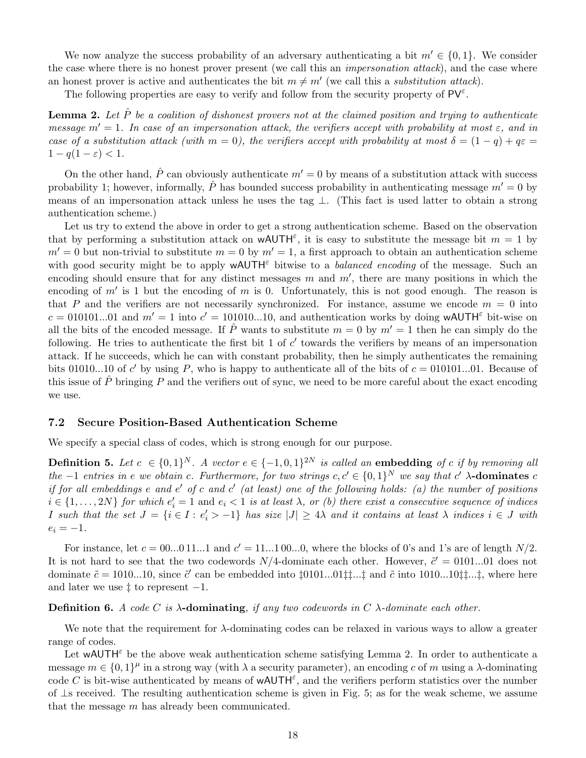We now analyze the success probability of an adversary authenticating a bit  $m' \in \{0, 1\}$ . We consider the case where there is no honest prover present (we call this an *impersonation attack*), and the case where an honest prover is active and authenticates the bit  $m \neq m'$  (we call this a *substitution attack*).

The following properties are easy to verify and follow from the security property of  $PV^{\varepsilon}$ .

**Lemma 2.** Let  $\hat{P}$  be a coalition of dishonest provers not at the claimed position and trying to authenticate message  $m' = 1$ . In case of an impersonation attack, the verifiers accept with probability at most  $\varepsilon$ , and in case of a substitution attack (with  $m = 0$ ), the verifiers accept with probability at most  $\delta = (1 - q) + q\varepsilon =$  $1 - q(1 - \varepsilon) < 1$ .

On the other hand,  $\hat{P}$  can obviously authenticate  $m' = 0$  by means of a substitution attack with success probability 1; however, informally, P has bounded success probability in authenticating message  $m' = 0$  by means of an impersonation attack unless he uses the tag ⊥. (This fact is used latter to obtain a strong authentication scheme.)

Let us try to extend the above in order to get a strong authentication scheme. Based on the observation that by performing a substitution attack on wAUTH<sup> $\varepsilon$ </sup>, it is easy to substitute the message bit  $m = 1$  by  $m' = 0$  but non-trivial to substitute  $m = 0$  by  $m' = 1$ , a first approach to obtain an authentication scheme with good security might be to apply wAUTH<sup> $\epsilon$ </sup> bitwise to a *balanced encoding* of the message. Such an encoding should ensure that for any distinct messages  $m$  and  $m'$ , there are many positions in which the encoding of  $m'$  is 1 but the encoding of m is 0. Unfortunately, this is not good enough. The reason is that P and the verifiers are not necessarily synchronized. For instance, assume we encode  $m = 0$  into  $c = 010101...01$  and  $m' = 1$  into  $c' = 101010...10$ , and authentication works by doing wAUTH<sup> $\epsilon$ </sup> bit-wise on all the bits of the encoded message. If  $\hat{P}$  wants to substitute  $m = 0$  by  $m' = 1$  then he can simply do the following. He tries to authenticate the first bit 1 of  $c'$  towards the verifiers by means of an impersonation attack. If he succeeds, which he can with constant probability, then he simply authenticates the remaining bits 01010...10 of c' by using P, who is happy to authenticate all of the bits of  $c = 010101...01$ . Because of this issue of P bringing P and the verifiers out of sync, we need to be more careful about the exact encoding we use.

## 7.2 Secure Position-Based Authentication Scheme

We specify a special class of codes, which is strong enough for our purpose.

**Definition 5.** Let  $c \in \{0,1\}^N$ . A vector  $e \in \{-1,0,1\}^{2N}$  is called an embedding of c if by removing all the −1 entries in e we obtain c. Furthermore, for two strings  $c, c' \in \{0, 1\}^N$  we say that  $c'$   $\lambda$ -dominates c if for all embeddings e and  $e'$  of c and  $c'$  (at least) one of the following holds: (a) the number of positions  $i \in \{1, \ldots, 2N\}$  for which  $e'_i = 1$  and  $e_i < 1$  is at least  $\lambda$ , or (b) there exist a consecutive sequence of indices I such that the set  $J = \{i \in I : e'_i > -1\}$  has size  $|J| \geq 4\lambda$  and it contains at least  $\lambda$  indices  $i \in J$  with  $e_i = -1$ .

For instance, let  $c = 00...011...1$  and  $c' = 11...100...0$ , where the blocks of 0's and 1's are of length  $N/2$ . It is not hard to see that the two codewords  $N/4$ -dominate each other. However,  $\tilde{c}' = 0101...01$  does not dominate  $\tilde{c} = 1010...10$ , since  $\tilde{c}'$  can be embedded into  $\ddagger 0101...01\ddagger$ ;...; and  $\tilde{c}$  into 1010...10;;..;, where here and later we use  $\ddagger$  to represent  $-1$ .

#### **Definition 6.** A code C is  $\lambda$ -dominating, if any two codewords in C  $\lambda$ -dominate each other.

We note that the requirement for  $\lambda$ -dominating codes can be relaxed in various ways to allow a greater range of codes.

Let wAUTH<sup> $\epsilon$ </sup> be the above weak authentication scheme satisfying Lemma 2. In order to authenticate a message  $m \in \{0,1\}^{\mu}$  in a strong way (with  $\lambda$  a security parameter), an encoding c of m using a  $\lambda$ -dominating code C is bit-wise authenticated by means of  $w$ AUTH $^{\epsilon}$ , and the verifiers perform statistics over the number of ⊥s received. The resulting authentication scheme is given in Fig. 5; as for the weak scheme, we assume that the message m has already been communicated.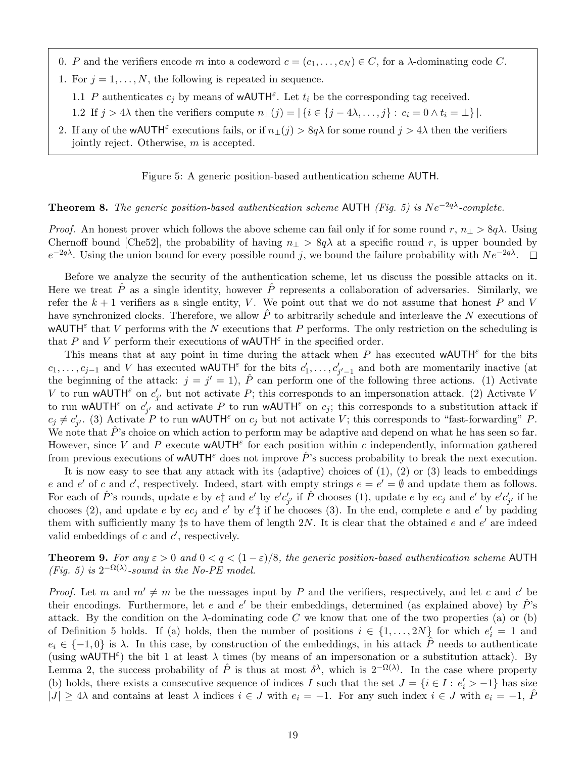- 0. P and the verifiers encode m into a codeword  $c = (c_1, \ldots, c_N) \in C$ , for a  $\lambda$ -dominating code C.
- 1. For  $j = 1, \ldots, N$ , the following is repeated in sequence.
	- 1.1 P authenticates  $c_j$  by means of wAUTH<sup> $\varepsilon$ </sup>. Let  $t_i$  be the corresponding tag received.
	- 1.2 If  $j > 4\lambda$  then the verifiers compute  $n_{\perp}(j) = |\{i \in \{j-4\lambda, \ldots, j\} : c_i = 0 \wedge t_i = \perp\}|$ .
- 2. If any of the wAUTH<sup> $\varepsilon$ </sup> executions fails, or if  $n_{\perp}(j) > 8q\lambda$  for some round  $j > 4\lambda$  then the verifiers jointly reject. Otherwise, m is accepted.

Figure 5: A generic position-based authentication scheme AUTH.

## **Theorem 8.** The generic position-based authentication scheme AUTH (Fig. 5) is  $Ne^{-2q\lambda}$ -complete.

*Proof.* An honest prover which follows the above scheme can fail only if for some round r,  $n_1 > 8q\lambda$ . Using Chernoff bound [Che52], the probability of having  $n_{\perp} > 8q\lambda$  at a specific round r, is upper bounded by  $e^{-2q\lambda}$ . Using the union bound for every possible round j, we bound the failure probability with  $Ne^{-2q\lambda}$ .  $\Box$ 

Before we analyze the security of the authentication scheme, let us discuss the possible attacks on it. Here we treat  $\hat{P}$  as a single identity, however  $\hat{P}$  represents a collaboration of adversaries. Similarly, we refer the  $k + 1$  verifiers as a single entity, V. We point out that we do not assume that honest P and V have synchronized clocks. Therefore, we allow  $\hat{P}$  to arbitrarily schedule and interleave the N executions of wAUTH<sup> $\varepsilon$ </sup> that V performs with the N executions that P performs. The only restriction on the scheduling is that P and V perform their executions of wAUTH<sup> $\varepsilon$ </sup> in the specified order.

This means that at any point in time during the attack when P has executed wAUTH<sup> $\epsilon$ </sup> for the bits  $c_1, \ldots, c_{j-1}$  and V has executed wAUTH<sup> $\varepsilon$ </sup> for the bits  $c'_1, \ldots, c'_{j'-1}$  and both are momentarily inactive (at the beginning of the attack:  $j = j' = 1$ ,  $\hat{P}$  can perform one of the following three actions. (1) Activate V to run wAUTH<sup> $\varepsilon$ </sup> on  $c'_{j'}$  but not activate P; this corresponds to an impersonation attack. (2) Activate V to run wAUTH<sup> $\varepsilon$ </sup> on  $c'_{j'}$  and activate P to run wAUTH $\varepsilon$  on  $c_j$ ; this corresponds to a substitution attack if  $c_j \neq c'_{j'}$ . (3) Activate P to run wAUTH<sup> $\varepsilon$ </sup> on  $c_j$  but not activate V; this corresponds to "fast-forwarding" P. We note that  $\ddot{P}$ 's choice on which action to perform may be adaptive and depend on what he has seen so far. However, since V and P execute wAUTH<sup> $\varepsilon$ </sup> for each position within c independently, information gathered from previous executions of wAUTH<sup> $\varepsilon$ </sup> does not improve  $\ddot{P}$ 's success probability to break the next execution.

It is now easy to see that any attack with its (adaptive) choices of  $(1)$ ,  $(2)$  or  $(3)$  leads to embeddings e and e' of c and c', respectively. Indeed, start with empty strings  $e = e' = \emptyset$  and update them as follows. For each of  $\hat{P}$ 's rounds, update e by e‡ and e' by e'c'<sub>j'</sub> if  $\hat{P}$  chooses (1), update e by ec<sub>j</sub> and e' by e'c'<sub>j'</sub> if he chooses (2), and update e by  $ec_j$  and e' by  $e'$  if he chooses (3). In the end, complete e and e' by padding them with sufficiently many  $\ddagger$ s to have them of length 2N. It is clear that the obtained e and  $e'$  are indeed valid embeddings of  $c$  and  $c'$ , respectively.

**Theorem 9.** For any  $\varepsilon > 0$  and  $0 < q < (1 - \varepsilon)/8$ , the generic position-based authentication scheme AUTH (Fig. 5) is  $2^{-\Omega(\lambda)}$ -sound in the No-PE model.

*Proof.* Let m and  $m' \neq m$  be the messages input by P and the verifiers, respectively, and let c and c' be their encodings. Furthermore, let e and e' be their embeddings, determined (as explained above) by  $\hat{P}$ 's attack. By the condition on the  $\lambda$ -dominating code C we know that one of the two properties (a) or (b) of Definition 5 holds. If (a) holds, then the number of positions  $i \in \{1, ..., 2N\}$  for which  $e'_i = 1$  and  $e_i \in \{-1,0\}$  is  $\lambda$ . In this case, by construction of the embeddings, in his attack P needs to authenticate (using wAUTH<sup> $\epsilon$ </sup>) the bit 1 at least  $\lambda$  times (by means of an impersonation or a substitution attack). By Lemma 2, the success probability of  $\hat{P}$  is thus at most  $\delta^{\lambda}$ , which is  $2^{-\Omega(\lambda)}$ . In the case where property (b) holds, there exists a consecutive sequence of indices I such that the set  $J = \{i \in I : e'_i > -1\}$  has size  $|J| \geq 4\lambda$  and contains at least  $\lambda$  indices  $i \in J$  with  $e_i = -1$ . For any such index  $i \in J$  with  $e_i = -1$ ,  $\tilde{P}$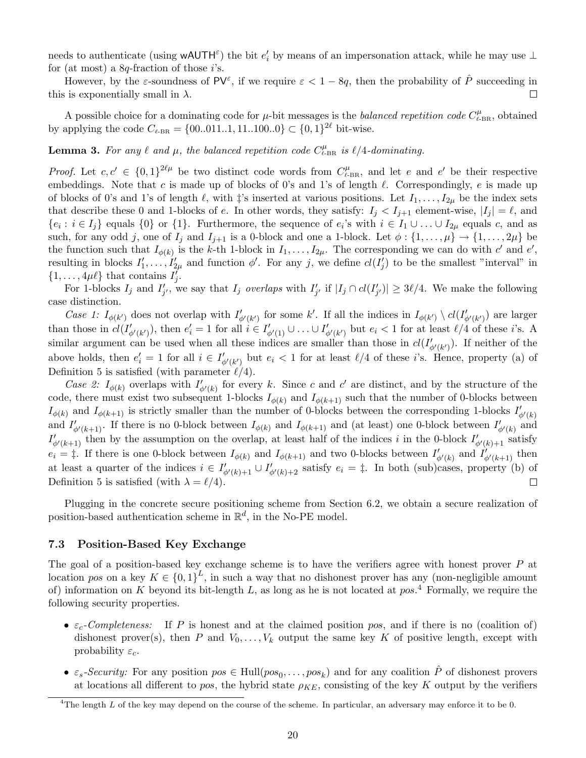needs to authenticate (using wAUTH<sup> $\varepsilon$ </sup>) the bit  $e'_i$  by means of an impersonation attack, while he may use  $\perp$ for (at most) a  $8q$ -fraction of those *i*'s.

However, by the  $\varepsilon$ -soundness of PV<sup> $\varepsilon$ </sup>, if we require  $\varepsilon < 1-8q$ , then the probability of  $\hat{P}$  succeeding in this is exponentially small in  $\lambda$ .  $\Box$ 

A possible choice for a dominating code for  $\mu$ -bit messages is the *balanced repetition code*  $C_{\ell$ -BR, obtained by applying the code  $C_{\ell-\text{BR}} = \{00..011..1, 11..100..0\} \subset \{0,1\}^{2\ell}$  bit-wise.

**Lemma 3.** For any  $\ell$  and  $\mu$ , the balanced repetition code  $C_{\ell$ <sub>ER</sub> is  $\ell/4$ -dominating.

*Proof.* Let  $c, c' \in \{0, 1\}^{2\ell\mu}$  be two distinct code words from  $C_{\ell-BR}^{\mu}$ , and let e and e' be their respective embeddings. Note that c is made up of blocks of 0's and 1's of length  $\ell$ . Correspondingly, e is made up of blocks of 0's and 1's of length  $\ell$ , with  $\ddagger$ 's inserted at various positions. Let  $I_1, \ldots, I_{2\mu}$  be the index sets that describe these 0 and 1-blocks of e. In other words, they satisfy:  $I_i < I_{i+1}$  element-wise,  $|I_i| = \ell$ , and  $\{e_i : i \in I_j\}$  equals  $\{0\}$  or  $\{1\}$ . Furthermore, the sequence of  $e_i$ 's with  $i \in I_1 \cup \ldots \cup I_{2\mu}$  equals c, and as such, for any odd j, one of  $I_j$  and  $I_{j+1}$  is a 0-block and one a 1-block. Let  $\phi: \{1, \ldots, \mu\} \to \{1, \ldots, 2\mu\}$  be the function such that  $I_{\phi(k)}$  is the k-th 1-block in  $I_1, \ldots, I_{2\mu}$ . The corresponding we can do with c' and e', resulting in blocks  $I'_1, \ldots, I'_{2\mu}$  and function  $\phi'$ . For any j, we define  $cl(I'_j)$  to be the smallest "interval" in  $\{1, \ldots, 4\mu\ell\}$  that contains  $I'_j$ .

For 1-blocks  $I_j$  and  $I'_{j'}$ , we say that  $I_j$  overlaps with  $I'_{j'}$  if  $|I_j \cap cl(I'_{j'})| \geq 3\ell/4$ . We make the following case distinction.

Case 1:  $I_{\phi(k')}$  does not overlap with  $I'_{\phi'(k')}$  for some k'. If all the indices in  $I_{\phi(k')} \setminus cl(I'_{\phi'(k')} )$  are larger than those in  $cl(I'_{\phi'(k')})$ , then  $e'_i = 1$  for all  $i \in I'_{\phi'(1)} \cup \ldots \cup I'_{\phi'(k')}$  but  $e_i < 1$  for at least  $\ell/4$  of these *i*'s. A similar argument can be used when all these indices are smaller than those in  $cl(I'_{\phi'(k')})$ . If neither of the above holds, then  $e'_i = 1$  for all  $i \in I'_{\phi'(k')}$  but  $e_i < 1$  for at least  $\ell/4$  of these i's. Hence, property (a) of Definition 5 is satisfied (with parameter  $\ell/4$ ).

Case 2:  $I_{\phi(k)}$  overlaps with  $I'_{\phi'(k)}$  for every k. Since c and c' are distinct, and by the structure of the code, there must exist two subsequent 1-blocks  $I_{\phi(k)}$  and  $I_{\phi(k+1)}$  such that the number of 0-blocks between  $I_{\phi(k)}$  and  $I_{\phi(k+1)}$  is strictly smaller than the number of 0-blocks between the corresponding 1-blocks  $I'_{\phi'(k)}$ and  $I'_{\phi'(k+1)}$ . If there is no 0-block between  $I_{\phi(k)}$  and  $I_{\phi(k+1)}$  and (at least) one 0-block between  $I'_{\phi'(k)}$  and  $I'_{\phi'(k+1)}$  then by the assumption on the overlap, at least half of the indices i in the 0-block  $I'_{\phi'(k)+1}$  satisfy  $e_i = \ddagger$ . If there is one 0-block between  $I_{\phi(k)}$  and  $I_{\phi(k+1)}$  and two 0-blocks between  $I'_{\phi'(k)}$  and  $I'_{\phi'(k+1)}$  then at least a quarter of the indices  $i \in I'_{\phi'(k)+1} \cup I'_{\phi'(k)+2}$  satisfy  $e_i = \ddagger$ . In both (sub)cases, property (b) of Definition 5 is satisfied (with  $\lambda = \ell/4$ ).  $\Box$ 

Plugging in the concrete secure positioning scheme from Section 6.2, we obtain a secure realization of position-based authentication scheme in  $\mathbb{R}^d$ , in the No-PE model.

## 7.3 Position-Based Key Exchange

The goal of a position-based key exchange scheme is to have the verifiers agree with honest prover  $P$  at location pos on a key  $K \in \{0,1\}^L$ , in such a way that no dishonest prover has any (non-negligible amount of) information on K beyond its bit-length L, as long as he is not located at  $pos$ .<sup>4</sup> Formally, we require the following security properties.

- $\varepsilon_c$ -Completeness: If P is honest and at the claimed position pos, and if there is no (coalition of) dishonest prover(s), then P and  $V_0, \ldots, V_k$  output the same key K of positive length, except with probability  $\varepsilon_c$ .
- $\varepsilon_s$ -Security: For any position  $pos \in Hull(pos_0, \ldots, pos_k)$  and for any coalition  $\hat{P}$  of dishonest provers at locations all different to pos, the hybrid state  $\rho_{KE}$ , consisting of the key K output by the verifiers

<sup>&</sup>lt;sup>4</sup>The length L of the key may depend on the course of the scheme. In particular, an adversary may enforce it to be 0.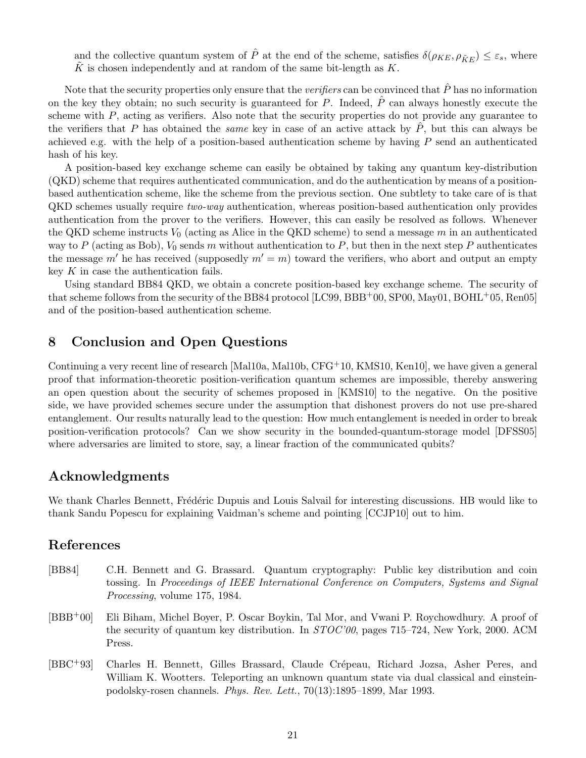and the collective quantum system of  $\hat{P}$  at the end of the scheme, satisfies  $\delta(\rho_{KE}, \rho_{\tilde{KE}}) \leq \varepsilon_s$ , where  $K$  is chosen independently and at random of the same bit-length as  $K$ .

Note that the security properties only ensure that the *verifiers* can be convinced that  $\hat{P}$  has no information on the key they obtain; no such security is guaranteed for P. Indeed,  $\hat{P}$  can always honestly execute the scheme with  $P$ , acting as verifiers. Also note that the security properties do not provide any guarantee to the verifiers that P has obtained the *same* key in case of an active attack by P, but this can always be achieved e.g. with the help of a position-based authentication scheme by having  $P$  send an authenticated hash of his key.

A position-based key exchange scheme can easily be obtained by taking any quantum key-distribution (QKD) scheme that requires authenticated communication, and do the authentication by means of a positionbased authentication scheme, like the scheme from the previous section. One subtlety to take care of is that QKD schemes usually require two-way authentication, whereas position-based authentication only provides authentication from the prover to the verifiers. However, this can easily be resolved as follows. Whenever the QKD scheme instructs  $V_0$  (acting as Alice in the QKD scheme) to send a message m in an authenticated way to P (acting as Bob),  $V_0$  sends m without authentication to P, but then in the next step P authenticates the message m' he has received (supposedly  $m' = m$ ) toward the verifiers, who abort and output an empty key K in case the authentication fails.

Using standard BB84 QKD, we obtain a concrete position-based key exchange scheme. The security of that scheme follows from the security of the BB84 protocol [LC99, BBB+00, SP00, May01, BOHL+05, Ren05] and of the position-based authentication scheme.

## 8 Conclusion and Open Questions

Continuing a very recent line of research [Mal10a, Mal10b, CFG<sup>+</sup>10, KMS10, Ken10], we have given a general proof that information-theoretic position-verification quantum schemes are impossible, thereby answering an open question about the security of schemes proposed in [KMS10] to the negative. On the positive side, we have provided schemes secure under the assumption that dishonest provers do not use pre-shared entanglement. Our results naturally lead to the question: How much entanglement is needed in order to break position-verification protocols? Can we show security in the bounded-quantum-storage model [DFSS05] where adversaries are limited to store, say, a linear fraction of the communicated qubits?

## Acknowledgments

We thank Charles Bennett, Frédéric Dupuis and Louis Salvail for interesting discussions. HB would like to thank Sandu Popescu for explaining Vaidman's scheme and pointing [CCJP10] out to him.

## References

- [BB84] C.H. Bennett and G. Brassard. Quantum cryptography: Public key distribution and coin tossing. In Proceedings of IEEE International Conference on Computers, Systems and Signal Processing, volume 175, 1984.
- [BBB+00] Eli Biham, Michel Boyer, P. Oscar Boykin, Tal Mor, and Vwani P. Roychowdhury. A proof of the security of quantum key distribution. In  $STOC'00$ , pages 715–724, New York, 2000. ACM Press.
- [BBC<sup>+</sup>93] Charles H. Bennett, Gilles Brassard, Claude Crépeau, Richard Jozsa, Asher Peres, and William K. Wootters. Teleporting an unknown quantum state via dual classical and einsteinpodolsky-rosen channels. Phys. Rev. Lett., 70(13):1895–1899, Mar 1993.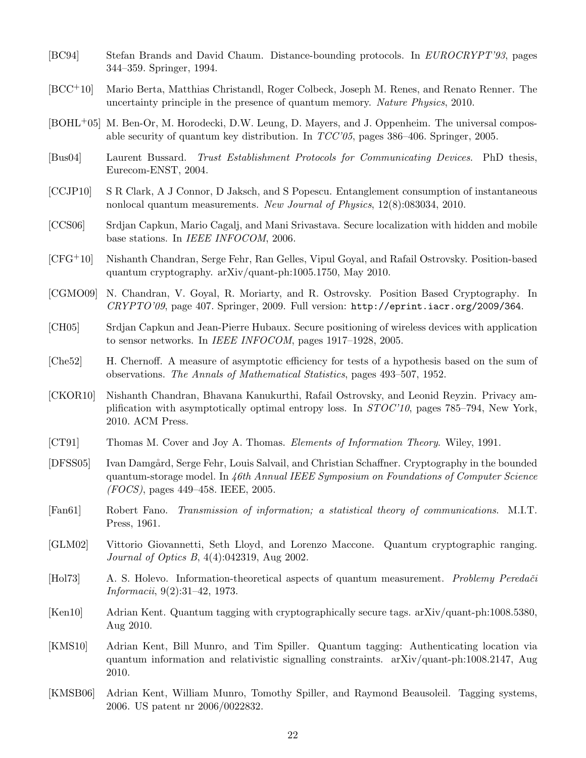- [BC94] Stefan Brands and David Chaum. Distance-bounding protocols. In EUROCRYPT'93, pages 344–359. Springer, 1994.
- [BCC+10] Mario Berta, Matthias Christandl, Roger Colbeck, Joseph M. Renes, and Renato Renner. The uncertainty principle in the presence of quantum memory. Nature Physics, 2010.
- [BOHL+05] M. Ben-Or, M. Horodecki, D.W. Leung, D. Mayers, and J. Oppenheim. The universal composable security of quantum key distribution. In TCC'05, pages 386–406. Springer, 2005.
- [Bus04] Laurent Bussard. Trust Establishment Protocols for Communicating Devices. PhD thesis, Eurecom-ENST, 2004.
- [CCJP10] S R Clark, A J Connor, D Jaksch, and S Popescu. Entanglement consumption of instantaneous nonlocal quantum measurements. New Journal of Physics, 12(8):083034, 2010.
- [CCS06] Srdjan Capkun, Mario Cagalj, and Mani Srivastava. Secure localization with hidden and mobile base stations. In IEEE INFOCOM, 2006.
- [CFG+10] Nishanth Chandran, Serge Fehr, Ran Gelles, Vipul Goyal, and Rafail Ostrovsky. Position-based quantum cryptography. arXiv/quant-ph:1005.1750, May 2010.
- [CGMO09] N. Chandran, V. Goyal, R. Moriarty, and R. Ostrovsky. Position Based Cryptography. In  $CRYPTO'09$ , page 407. Springer, 2009. Full version: http://eprint.iacr.org/2009/364.
- [CH05] Srdjan Capkun and Jean-Pierre Hubaux. Secure positioning of wireless devices with application to sensor networks. In IEEE INFOCOM, pages 1917–1928, 2005.
- [Che52] H. Chernoff. A measure of asymptotic efficiency for tests of a hypothesis based on the sum of observations. The Annals of Mathematical Statistics, pages 493–507, 1952.
- [CKOR10] Nishanth Chandran, Bhavana Kanukurthi, Rafail Ostrovsky, and Leonid Reyzin. Privacy amplification with asymptotically optimal entropy loss. In STOC'10, pages 785–794, New York, 2010. ACM Press.
- [CT91] Thomas M. Cover and Joy A. Thomas. Elements of Information Theory. Wiley, 1991.
- [DFSS05] Ivan Damgård, Serge Fehr, Louis Salvail, and Christian Schaffner. Cryptography in the bounded quantum-storage model. In 46th Annual IEEE Symposium on Foundations of Computer Science (FOCS), pages 449–458. IEEE, 2005.
- [Fan61] Robert Fano. Transmission of information; a statistical theory of communications. M.I.T. Press, 1961.
- [GLM02] Vittorio Giovannetti, Seth Lloyd, and Lorenzo Maccone. Quantum cryptographic ranging. Journal of Optics B, 4(4):042319, Aug 2002.
- [Hol73] A. S. Holevo. Information-theoretical aspects of quantum measurement. Problemy Peredači Informacii, 9(2):31–42, 1973.
- [Ken10] Adrian Kent. Quantum tagging with cryptographically secure tags. arXiv/quant-ph:1008.5380, Aug 2010.
- [KMS10] Adrian Kent, Bill Munro, and Tim Spiller. Quantum tagging: Authenticating location via quantum information and relativistic signalling constraints. arXiv/quant-ph:1008.2147, Aug 2010.
- [KMSB06] Adrian Kent, William Munro, Tomothy Spiller, and Raymond Beausoleil. Tagging systems, 2006. US patent nr 2006/0022832.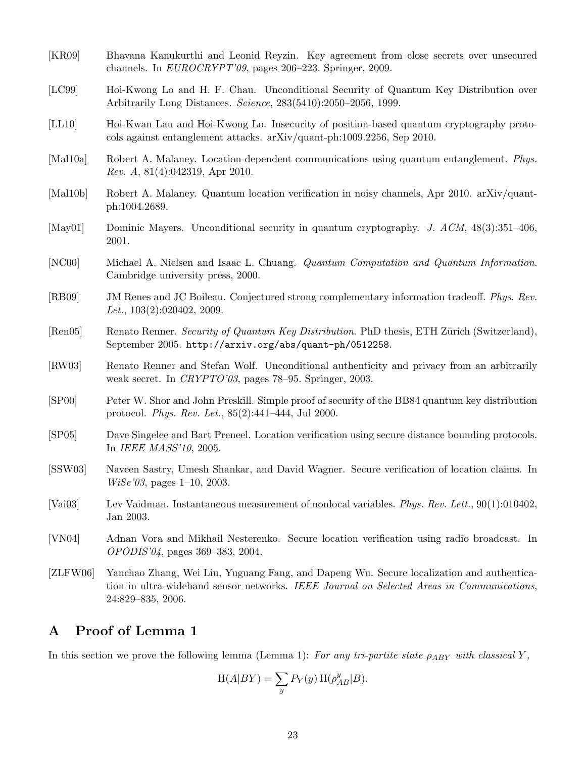- [KR09] Bhavana Kanukurthi and Leonid Reyzin. Key agreement from close secrets over unsecured channels. In EUROCRYPT'09, pages 206–223. Springer, 2009.
- [LC99] Hoi-Kwong Lo and H. F. Chau. Unconditional Security of Quantum Key Distribution over Arbitrarily Long Distances. Science, 283(5410):2050–2056, 1999.
- [LL10] Hoi-Kwan Lau and Hoi-Kwong Lo. Insecurity of position-based quantum cryptography protocols against entanglement attacks. arXiv/quant-ph:1009.2256, Sep 2010.
- [Mal10a] Robert A. Malaney. Location-dependent communications using quantum entanglement. Phys. Rev. A, 81(4):042319, Apr 2010.
- [Mal10b] Robert A. Malaney. Quantum location verification in noisy channels, Apr 2010. arXiv/quantph:1004.2689.
- [May01] Dominic Mayers. Unconditional security in quantum cryptography. *J. ACM*, 48(3):351-406, 2001.
- [NC00] Michael A. Nielsen and Isaac L. Chuang. Quantum Computation and Quantum Information. Cambridge university press, 2000.
- [RB09] JM Renes and JC Boileau. Conjectured strong complementary information tradeoff. Phys. Rev. Let., 103(2):020402, 2009.
- [Ren05] Renato Renner. Security of Quantum Key Distribution. PhD thesis, ETH Zürich (Switzerland), September 2005. http://arxiv.org/abs/quant-ph/0512258.
- [RW03] Renato Renner and Stefan Wolf. Unconditional authenticity and privacy from an arbitrarily weak secret. In CRYPTO'03, pages 78–95. Springer, 2003.
- [SP00] Peter W. Shor and John Preskill. Simple proof of security of the BB84 quantum key distribution protocol. Phys. Rev. Let., 85(2):441–444, Jul 2000.
- [SP05] Dave Singelee and Bart Preneel. Location verification using secure distance bounding protocols. In IEEE MASS'10, 2005.
- [SSW03] Naveen Sastry, Umesh Shankar, and David Wagner. Secure verification of location claims. In WiSe'03, pages 1–10, 2003.
- [Vai03] Lev Vaidman. Instantaneous measurement of nonlocal variables. Phys. Rev. Lett., 90(1):010402, Jan 2003.
- [VN04] Adnan Vora and Mikhail Nesterenko. Secure location verification using radio broadcast. In OPODIS'04, pages 369–383, 2004.
- [ZLFW06] Yanchao Zhang, Wei Liu, Yuguang Fang, and Dapeng Wu. Secure localization and authentication in ultra-wideband sensor networks. IEEE Journal on Selected Areas in Communications, 24:829–835, 2006.

## A Proof of Lemma 1

In this section we prove the following lemma (Lemma 1): For any tri-partite state  $\rho_{ABY}$  with classical Y,

$$
H(A|BY) = \sum_{y} P_Y(y) H(\rho_{AB}^y|B).
$$